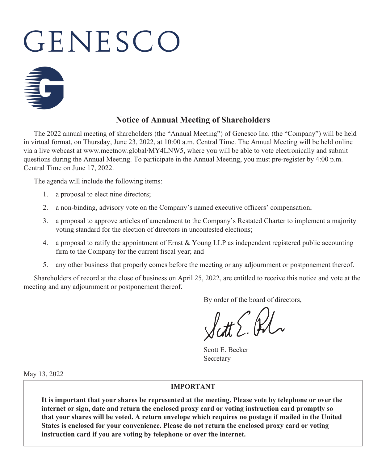# GENESCO



# **Notice of Annual Meeting of Shareholders**

The 2022 annual meeting of shareholders (the "Annual Meeting") of Genesco Inc. (the "Company") will be held in virtual format, on Thursday, June 23, 2022, at 10:00 a.m. Central Time. The Annual Meeting will be held online via a live webcast at www.meetnow.global/MY4LNW5, where you will be able to vote electronically and submit questions during the Annual Meeting. To participate in the Annual Meeting, you must pre-register by 4:00 p.m. Central Time on June 17, 2022.

The agenda will include the following items:

- 1. a proposal to elect nine directors;
- 2. a non-binding, advisory vote on the Company's named executive officers' compensation;
- 3. a proposal to approve articles of amendment to the Company's Restated Charter to implement a majority voting standard for the election of directors in uncontested elections;
- 4. a proposal to ratify the appointment of Ernst & Young LLP as independent registered public accounting firm to the Company for the current fiscal year; and
- 5. any other business that properly comes before the meeting or any adjournment or postponement thereof.

Shareholders of record at the close of business on April 25, 2022, are entitled to receive this notice and vote at the meeting and any adjournment or postponement thereof.

By order of the board of directors,

Scott E. Becker Secretary

May 13, 2022

#### **IMPORTANT**

**It is important that your shares be represented at the meeting. Please vote by telephone or over the internet or sign, date and return the enclosed proxy card or voting instruction card promptly so that your shares will be voted. A return envelope which requires no postage if mailed in the United States is enclosed for your convenience. Please do not return the enclosed proxy card or voting instruction card if you are voting by telephone or over the internet.**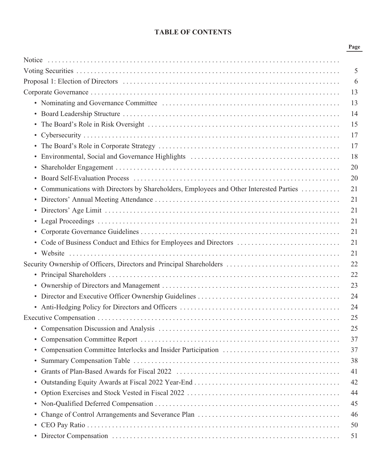# **TABLE OF CONTENTS**

| <br>۰.<br>×<br>×<br>۰. |
|------------------------|
|------------------------|

|                                                                                         | $\mathfrak{S}$ |
|-----------------------------------------------------------------------------------------|----------------|
|                                                                                         | 6              |
|                                                                                         | 13             |
|                                                                                         | 13             |
|                                                                                         | 14             |
|                                                                                         | 15             |
|                                                                                         | 17             |
|                                                                                         | 17             |
|                                                                                         | 18             |
|                                                                                         | 20             |
|                                                                                         | 20             |
| • Communications with Directors by Shareholders, Employees and Other Interested Parties | 21             |
|                                                                                         | 21             |
|                                                                                         | 21             |
|                                                                                         | 21             |
|                                                                                         | 21             |
|                                                                                         | 21             |
|                                                                                         | 21             |
| Security Ownership of Officers, Directors and Principal Shareholders                    | 22             |
|                                                                                         | 22             |
|                                                                                         | 23             |
|                                                                                         | 24             |
|                                                                                         | 24             |
|                                                                                         | 25             |
|                                                                                         | 25             |
|                                                                                         | 37             |
|                                                                                         | 37             |
|                                                                                         | 38             |
|                                                                                         | 41             |
|                                                                                         | 42             |
|                                                                                         | 44             |
|                                                                                         | 45             |
|                                                                                         | 46             |
|                                                                                         | 50             |
|                                                                                         | 51             |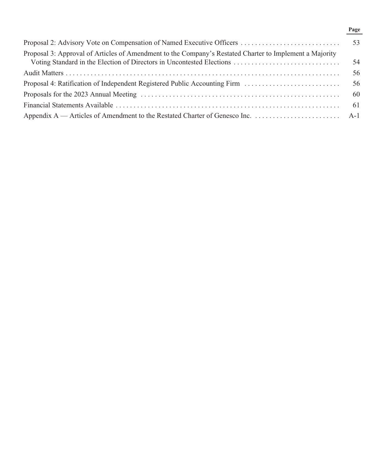## **Page**

| Proposal 3: Approval of Articles of Amendment to the Company's Restated Charter to Implement a Majority<br>Voting Standard in the Election of Directors in Uncontested Elections | -54 |
|----------------------------------------------------------------------------------------------------------------------------------------------------------------------------------|-----|
|                                                                                                                                                                                  | 56  |
| Proposal 4: Ratification of Independent Registered Public Accounting Firm                                                                                                        | -56 |
|                                                                                                                                                                                  |     |
|                                                                                                                                                                                  |     |
|                                                                                                                                                                                  |     |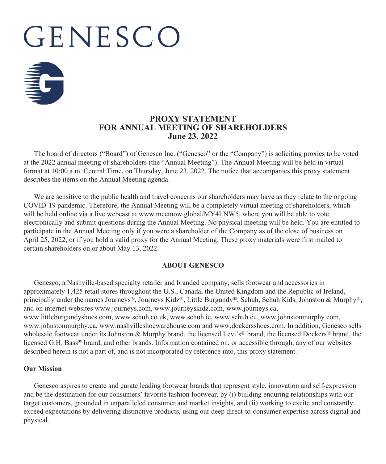# GENESCO



# **PROXY STATEMENT FOR ANNUAL MEETING OF SHAREHOLDERS June 23, 2022**

The board of directors ("Board") of Genesco Inc. ("Genesco" or the "Company") is soliciting proxies to be voted at the 2022 annual meeting of shareholders (the "Annual Meeting"). The Annual Meeting will be held in virtual format at 10:00 a.m. Central Time, on Thursday, June 23, 2022. The notice that accompanies this proxy statement describes the items on the Annual Meeting agenda.

We are sensitive to the public health and travel concerns our shareholders may have as they relate to the ongoing COVID-19 pandemic. Therefore, the Annual Meeting will be a completely virtual meeting of shareholders, which will be held online via a live webcast at www.meetnow.global/MY4LNW5, where you will be able to vote electronically and submit questions during the Annual Meeting. No physical meeting will be held. You are entitled to participate in the Annual Meeting only if you were a shareholder of the Company as of the close of business on April 25, 2022, or if you hold a valid proxy for the Annual Meeting. These proxy materials were first mailed to certain shareholders on or about May 13, 2022.

## **ABOUT GENESCO**

Genesco, a Nashville-based specialty retailer and branded company, sells footwear and accessories in approximately 1,425 retail stores throughout the U.S., Canada, the United Kingdom and the Republic of Ireland, principally under the names Journeys®, Journeys Kidz®, Little Burgundy®, Schuh, Schuh Kids, Johnston & Murphy®, and on internet websites www.journeys.com, www.journeyskidz.com, www.journeys.ca, www.littleburgundyshoes.com, www.schuh.co.uk, www.schuh.ie, www.schuh.eu, www.johnstonmurphy.com, www.johnstonmurphy.ca, www.nashvilleshoewarehouse.com and www.dockersshoes.com. In addition, Genesco sells wholesale footwear under its Johnston & Murphy brand, the licensed Levi's<sup>®</sup> brand, the licensed Dockers<sup>®</sup> brand, the licensed G.H. Bass® brand, and other brands. Information contained on, or accessible through, any of our websites described herein is not a part of, and is not incorporated by reference into, this proxy statement.

#### **Our Mission**

Genesco aspires to create and curate leading footwear brands that represent style, innovation and self-expression and be the destination for our consumers' favorite fashion footwear, by (i) building enduring relationships with our target customers, grounded in unparalleled consumer and market insights, and (ii) working to excite and constantly exceed expectations by delivering distinctive products, using our deep direct-to-consumer expertise across digital and physical.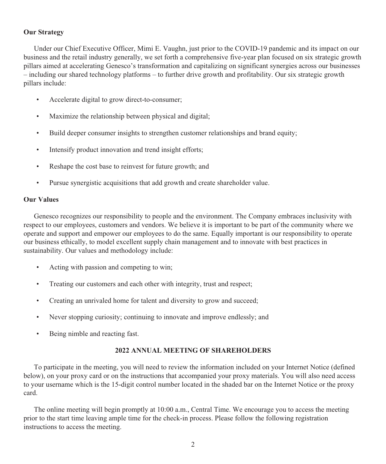## **Our Strategy**

Under our Chief Executive Officer, Mimi E. Vaughn, just prior to the COVID-19 pandemic and its impact on our business and the retail industry generally, we set forth a comprehensive five-year plan focused on six strategic growth pillars aimed at accelerating Genesco's transformation and capitalizing on significant synergies across our businesses – including our shared technology platforms – to further drive growth and profitability. Our six strategic growth pillars include:

- Accelerate digital to grow direct-to-consumer;
- Maximize the relationship between physical and digital;
- Build deeper consumer insights to strengthen customer relationships and brand equity;
- Intensify product innovation and trend insight efforts;
- Reshape the cost base to reinvest for future growth; and
- Pursue synergistic acquisitions that add growth and create shareholder value.

#### **Our Values**

Genesco recognizes our responsibility to people and the environment. The Company embraces inclusivity with respect to our employees, customers and vendors. We believe it is important to be part of the community where we operate and support and empower our employees to do the same. Equally important is our responsibility to operate our business ethically, to model excellent supply chain management and to innovate with best practices in sustainability. Our values and methodology include:

- Acting with passion and competing to win;
- Treating our customers and each other with integrity, trust and respect;
- Creating an unrivaled home for talent and diversity to grow and succeed;
- Never stopping curiosity; continuing to innovate and improve endlessly; and
- Being nimble and reacting fast.

## **2022 ANNUAL MEETING OF SHAREHOLDERS**

To participate in the meeting, you will need to review the information included on your Internet Notice (defined below), on your proxy card or on the instructions that accompanied your proxy materials. You will also need access to your username which is the 15-digit control number located in the shaded bar on the Internet Notice or the proxy card.

The online meeting will begin promptly at 10:00 a.m., Central Time. We encourage you to access the meeting prior to the start time leaving ample time for the check-in process. Please follow the following registration instructions to access the meeting.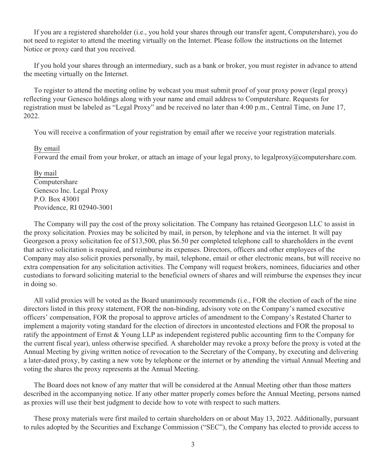If you are a registered shareholder (i.e., you hold your shares through our transfer agent, Computershare), you do not need to register to attend the meeting virtually on the Internet. Please follow the instructions on the Internet Notice or proxy card that you received.

If you hold your shares through an intermediary, such as a bank or broker, you must register in advance to attend the meeting virtually on the Internet.

To register to attend the meeting online by webcast you must submit proof of your proxy power (legal proxy) reflecting your Genesco holdings along with your name and email address to Computershare. Requests for registration must be labeled as "Legal Proxy" and be received no later than 4:00 p.m., Central Time, on June 17, 2022.

You will receive a confirmation of your registration by email after we receive your registration materials.

#### By email

Forward the email from your broker, or attach an image of your legal proxy, to legalproxy@computershare.com.

By mail Computershare Genesco Inc. Legal Proxy P.O. Box 43001 Providence, RI 02940-3001

The Company will pay the cost of the proxy solicitation. The Company has retained Georgeson LLC to assist in the proxy solicitation. Proxies may be solicited by mail, in person, by telephone and via the internet. It will pay Georgeson a proxy solicitation fee of \$13,500, plus \$6.50 per completed telephone call to shareholders in the event that active solicitation is required, and reimburse its expenses. Directors, officers and other employees of the Company may also solicit proxies personally, by mail, telephone, email or other electronic means, but will receive no extra compensation for any solicitation activities. The Company will request brokers, nominees, fiduciaries and other custodians to forward soliciting material to the beneficial owners of shares and will reimburse the expenses they incur in doing so.

All valid proxies will be voted as the Board unanimously recommends (i.e., FOR the election of each of the nine directors listed in this proxy statement, FOR the non-binding, advisory vote on the Company's named executive officers' compensation, FOR the proposal to approve articles of amendment to the Company's Restated Charter to implement a majority voting standard for the election of directors in uncontested elections and FOR the proposal to ratify the appointment of Ernst & Young LLP as independent registered public accounting firm to the Company for the current fiscal year), unless otherwise specified.Ashareholder may revoke a proxy before the proxy is voted at the Annual Meeting by giving written notice of revocation to the Secretary of the Company, by executing and delivering a later-dated proxy, by casting a new vote by telephone or the internet or by attending the virtual Annual Meeting and voting the shares the proxy represents at the Annual Meeting.

The Board does not know of any matter that will be considered at the Annual Meeting other than those matters described in the accompanying notice. If any other matter properly comes before the Annual Meeting, persons named as proxies will use their best judgment to decide how to vote with respect to such matters.

These proxy materials were first mailed to certain shareholders on or about May 13, 2022. Additionally, pursuant to rules adopted by the Securities and Exchange Commission ("SEC"), the Company has elected to provide access to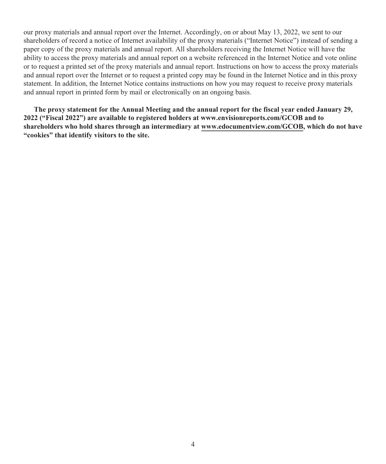our proxy materials and annual report over the Internet. Accordingly, on or about May 13, 2022, we sent to our shareholders of record a notice of Internet availability of the proxy materials ("Internet Notice") instead of sending a paper copy of the proxy materials and annual report. All shareholders receiving the Internet Notice will have the ability to access the proxy materials and annual report on a website referenced in the Internet Notice and vote online or to request a printed set of the proxy materials and annual report. Instructions on how to access the proxy materials and annual report over the Internet or to request a printed copy may be found in the Internet Notice and in this proxy statement. In addition, the Internet Notice contains instructions on how you may request to receive proxy materials and annual report in printed form by mail or electronically on an ongoing basis.

**The proxy statement for the Annual Meeting and the annual report for the fiscal year ended January 29, 2022 ("Fiscal 2022") are available to registered holders at www.envisionreports.com/GCOB and to shareholders who hold shares through an intermediary at www.edocumentview.com/GCOB, which do not have "cookies" that identify visitors to the site.**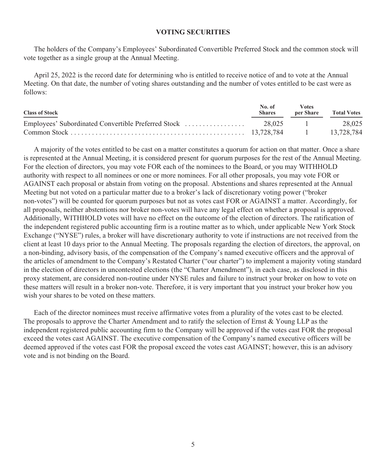#### **VOTING SECURITIES**

The holders of the Company's Employees' Subordinated Convertible Preferred Stock and the common stock will vote together as a single group at the Annual Meeting.

April 25, 2022 is the record date for determining who is entitled to receive notice of and to vote at the Annual Meeting. On that date, the number of voting shares outstanding and the number of votes entitled to be cast were as follows:

| <b>Class of Stock</b> | No. of<br><b>Shares</b> | <b>Votes</b><br>per Share | <b>Total Votes</b> |
|-----------------------|-------------------------|---------------------------|--------------------|
|                       |                         |                           | 28.025             |
|                       |                         |                           | 13.728.784         |

A majority of the votes entitled to be cast on a matter constitutes a quorum for action on that matter. Once a share is represented at the Annual Meeting, it is considered present for quorum purposes for the rest of the Annual Meeting. For the election of directors, you may vote FOR each of the nominees to the Board, or you may WITHHOLD authority with respect to all nominees or one or more nominees. For all other proposals, you may vote FOR or AGAINST each proposal or abstain from voting on the proposal. Abstentions and shares represented at the Annual Meeting but not voted on a particular matter due to a broker's lack of discretionary voting power ("broker non-votes") will be counted for quorum purposes but not as votes cast FOR or AGAINST a matter. Accordingly, for all proposals, neither abstentions nor broker non-votes will have any legal effect on whether a proposal is approved. Additionally, WITHHOLD votes will have no effect on the outcome of the election of directors. The ratification of the independent registered public accounting firm is a routine matter as to which, under applicable New York Stock Exchange ("NYSE") rules, a broker will have discretionary authority to vote if instructions are not received from the client at least 10 days prior to the Annual Meeting. The proposals regarding the election of directors, the approval, on a non-binding, advisory basis, of the compensation of the Company's named executive officers and the approval of the articles of amendment to the Company's Restated Charter ("our charter") to implement a majority voting standard in the election of directors in uncontested elections (the "Charter Amendment"), in each case, as disclosed in this proxy statement, are considered non-routine under NYSE rules and failure to instruct your broker on how to vote on these matters will result in a broker non-vote. Therefore, it is very important that you instruct your broker how you wish your shares to be voted on these matters.

Each of the director nominees must receive affirmative votes from a plurality of the votes cast to be elected. The proposals to approve the Charter Amendment and to ratify the selection of Ernst & Young LLP as the independent registered public accounting firm to the Company will be approved if the votes cast FOR the proposal exceed the votes cast AGAINST. The executive compensation of the Company's named executive officers will be deemed approved if the votes cast FOR the proposal exceed the votes cast AGAINST; however, this is an advisory vote and is not binding on the Board.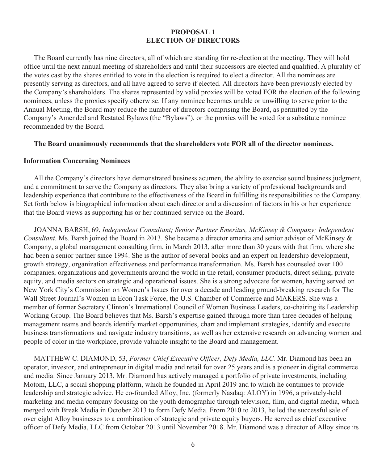## **PROPOSAL 1 ELECTION OF DIRECTORS**

The Board currently has nine directors, all of which are standing for re-election at the meeting. They will hold office until the next annual meeting of shareholders and until their successors are elected and qualified.Aplurality of the votes cast by the shares entitled to vote in the election is required to elect a director. All the nominees are presently serving as directors, and all have agreed to serve if elected. All directors have been previously elected by the Company's shareholders. The shares represented by valid proxies will be voted FOR the election of the following nominees, unless the proxies specify otherwise. If any nominee becomes unable or unwilling to serve prior to the Annual Meeting, the Board may reduce the number of directors comprising the Board, as permitted by the Company's Amended and Restated Bylaws (the "Bylaws"), or the proxies will be voted for a substitute nominee recommended by the Board.

#### **The Board unanimously recommends that the shareholders vote FOR all of the director nominees.**

#### **Information Concerning Nominees**

All the Company's directors have demonstrated business acumen, the ability to exercise sound business judgment, and a commitment to serve the Company as directors. They also bring a variety of professional backgrounds and leadership experience that contribute to the effectiveness of the Board in fulfilling its responsibilities to the Company. Set forth below is biographical information about each director and a discussion of factors in his or her experience that the Board views as supporting his or her continued service on the Board.

JOANNA BARSH, 69, *Independent Consultant; Senior Partner Emeritus, McKinsey & Company; Independent Consultant.* Ms. Barsh joined the Board in 2013. She became a director emerita and senior advisor of McKinsey & Company, a global management consulting firm, in March 2013, after more than 30 years with that firm, where she had been a senior partner since 1994. She is the author of several books and an expert on leadership development, growth strategy, organization effectiveness and performance transformation. Ms. Barsh has counseled over 100 companies, organizations and governments around the world in the retail, consumer products, direct selling, private equity, and media sectors on strategic and operational issues. She is a strong advocate for women, having served on New York City's Commission on Women's Issues for over a decade and leading ground-breaking research for The Wall Street Journal's Women in Econ Task Force, the U.S. Chamber of Commerce and MAKERS. She was a member of former Secretary Clinton's International Council of Women Business Leaders, co-chairing its Leadership Working Group. The Board believes that Ms. Barsh's expertise gained through more than three decades of helping management teams and boards identify market opportunities, chart and implement strategies, identify and execute business transformations and navigate industry transitions, as well as her extensive research on advancing women and people of color in the workplace, provide valuable insight to the Board and management.

MATTHEW C. DIAMOND, 53, *Former Chief Executive Officer, Defy Media, LLC.* Mr. Diamond has been an operator, investor, and entrepreneur in digital media and retail for over 25 years and is a pioneer in digital commerce and media. Since January 2013, Mr. Diamond has actively managed a portfolio of private investments, including Motom, LLC, a social shopping platform, which he founded in April 2019 and to which he continues to provide leadership and strategic advice. He co-founded Alloy, Inc. (formerly Nasdaq: ALOY) in 1996, a privately-held marketing and media company focusing on the youth demographic through television, film, and digital media, which merged with Break Media in October 2013 to form Defy Media. From 2010 to 2013, he led the successful sale of over eight Alloy businesses to a combination of strategic and private equity buyers. He served as chief executive officer of Defy Media, LLC from October 2013 until November 2018. Mr. Diamond was a director of Alloy since its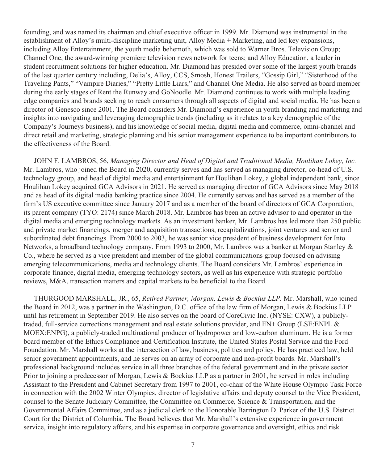founding, and was named its chairman and chief executive officer in 1999. Mr. Diamond was instrumental in the establishment of Alloy's multi-discipline marketing unit, Alloy Media + Marketing, and led key expansions, including Alloy Entertainment, the youth media behemoth, which was sold to Warner Bros. Television Group; Channel One, the award-winning premiere television news network for teens; and Alloy Education, a leader in student recruitment solutions for higher education. Mr. Diamond has presided over some of the largest youth brands of the last quarter century including, Delia's, Alloy, CCS, Smosh, Honest Trailers, "Gossip Girl," "Sisterhood of the Traveling Pants," "Vampire Diaries," "Pretty Little Liars," and Channel One Media. He also served as board member during the early stages of Rent the Runway and GoNoodle. Mr. Diamond continues to work with multiple leading edge companies and brands seeking to reach consumers through all aspects of digital and social media. He has been a director of Genesco since 2001. The Board considers Mr. Diamond's experience in youth branding and marketing and insights into navigating and leveraging demographic trends (including as it relates to a key demographic of the Company's Journeys business), and his knowledge of social media, digital media and commerce, omni-channel and direct retail and marketing, strategic planning and his senior management experience to be important contributors to the effectiveness of the Board.

JOHN F. LAMBROS, 56, *Managing Director and Head of Digital and Traditional Media, Houlihan Lokey, Inc.* Mr. Lambros, who joined the Board in 2020, currently serves and has served as managing director, co-head of U.S. technology group, and head of digital media and entertainment for Houlihan Lokey, a global independent bank, since Houlihan Lokey acquired GCA Advisors in 2021. He served as managing director of GCA Advisors since May 2018 and as head of its digital media banking practice since 2004. He currently serves and has served as a member of the firm's US executive committee since January 2017 and as a member of the board of directors of GCA Corporation, its parent company (TYO: 2174) since March 2018. Mr. Lambros has been an active advisor to and operator in the digital media and emerging technology markets. As an investment banker, Mr. Lambros has led more than 250 public and private market financings, merger and acquisition transactions, recapitalizations, joint ventures and senior and subordinated debt financings. From 2000 to 2003, he was senior vice president of business development for Into Networks, a broadband technology company. From 1993 to 2000, Mr. Lambros was a banker at Morgan Stanley & Co., where he served as a vice president and member of the global communications group focused on advising emerging telecommunications, media and technology clients. The Board considers Mr. Lambros' experience in corporate finance, digital media, emerging technology sectors, as well as his experience with strategic portfolio reviews, M&A, transaction matters and capital markets to be beneficial to the Board.

THURGOOD MARSHALL, JR., 65, *Retired Partner, Morgan, Lewis & Bockius LLP.* Mr. Marshall, who joined the Board in 2012, was a partner in the Washington, D.C. office of the law firm of Morgan, Lewis & Bockius LLP until his retirement in September 2019. He also serves on the board of CoreCivic Inc. (NYSE: CXW), a publiclytraded, full-service corrections management and real estate solutions provider, and EN+ Group (LSE:ENPL & MOEX:ENPG), a publicly-traded multinational producer of hydropower and low-carbon aluminum. He is a former board member of the Ethics Compliance and Certification Institute, the United States Postal Service and the Ford Foundation. Mr. Marshall works at the intersection of law, business, politics and policy. He has practiced law, held senior government appointments, and he serves on an array of corporate and non-profit boards. Mr. Marshall's professional background includes service in all three branches of the federal government and in the private sector. Prior to joining a predecessor of Morgan, Lewis & Bockius LLP as a partner in 2001, he served in roles including Assistant to the President and Cabinet Secretary from 1997 to 2001, co-chair of the White House Olympic Task Force in connection with the 2002 Winter Olympics, director of legislative affairs and deputy counsel to the Vice President, counsel to the Senate Judiciary Committee, the Committee on Commerce, Science & Transportation, and the Governmental Affairs Committee, and as a judicial clerk to the Honorable Barrington D. Parker of the U.S. District Court for the District of Columbia. The Board believes that Mr. Marshall's extensive experience in government service, insight into regulatory affairs, and his expertise in corporate governance and oversight, ethics and risk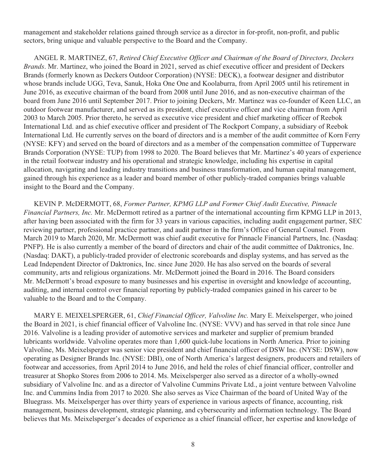management and stakeholder relations gained through service as a director in for-profit, non-profit, and public sectors, bring unique and valuable perspective to the Board and the Company.

ANGEL R. MARTINEZ, 67, *Retired Chief Executive Officer and Chairman of the Board of Directors, Deckers Brands*. Mr. Martinez, who joined the Board in 2021, served as chief executive officer and president of Deckers Brands (formerly known as Deckers Outdoor Corporation) (NYSE: DECK), a footwear designer and distributor whose brands include UGG, Teva, Sanuk, Hoka One One and Koolaburra, from April 2005 until his retirement in June 2016, as executive chairman of the board from 2008 until June 2016, and as non-executive chairman of the board from June 2016 until September 2017. Prior to joining Deckers, Mr. Martinez was co-founder of Keen LLC, an outdoor footwear manufacturer, and served as its president, chief executive officer and vice chairman from April 2003 to March 2005. Prior thereto, he served as executive vice president and chief marketing officer of Reebok International Ltd. and as chief executive officer and president of The Rockport Company, a subsidiary of Reebok International Ltd. He currently serves on the board of directors and is a member of the audit committee of Korn Ferry (NYSE: KFY) and served on the board of directors and as a member of the compensation committee of Tupperware Brands Corporation (NYSE: TUP) from 1998 to 2020. The Board believes that Mr. Martinez's 40 years of experience in the retail footwear industry and his operational and strategic knowledge, including his expertise in capital allocation, navigating and leading industry transitions and business transformation, and human capital management, gained through his experience as a leader and board member of other publicly-traded companies brings valuable insight to the Board and the Company.

KEVIN P. McDERMOTT, 68, *Former Partner, KPMG LLP and Former Chief Audit Executive, Pinnacle Financial Partners, Inc.* Mr. McDermott retired as a partner of the international accounting firm KPMG LLP in 2013, after having been associated with the firm for 33 years in various capacities, including audit engagement partner, SEC reviewing partner, professional practice partner, and audit partner in the firm's Office of General Counsel. From March 2019 to March 2020, Mr. McDermott was chief audit executive for Pinnacle Financial Partners, Inc. (Nasdaq: PNFP). He is also currently a member of the board of directors and chair of the audit committee of Daktronics, Inc. (Nasdaq: DAKT), a publicly-traded provider of electronic scoreboards and display systems, and has served as the Lead Independent Director of Daktronics, Inc. since June 2020. He has also served on the boards of several community, arts and religious organizations. Mr. McDermott joined the Board in 2016. The Board considers Mr. McDermott's broad exposure to many businesses and his expertise in oversight and knowledge of accounting, auditing, and internal control over financial reporting by publicly-traded companies gained in his career to be valuable to the Board and to the Company.

MARY E. MEIXELSPERGER, 61, *Chief Financial Officer, Valvoline Inc.* Mary E. Meixelsperger, who joined the Board in 2021, is chief financial officer of Valvoline Inc. (NYSE: VVV) and has served in that role since June 2016. Valvoline is a leading provider of automotive services and marketer and supplier of premium branded lubricants worldwide. Valvoline operates more than 1,600 quick-lube locations in North America. Prior to joining Valvoline, Ms. Meixelsperger was senior vice president and chief financial officer of DSW Inc. (NYSE: DSW), now operating as Designer Brands Inc. (NYSE: DBI), one of North America's largest designers, producers and retailers of footwear and accessories, from April 2014 to June 2016, and held the roles of chief financial officer, controller and treasurer at Shopko Stores from 2006 to 2014. Ms. Meixelsperger also served as a director of a wholly-owned subsidiary of Valvoline Inc. and as a director of Valvoline Cummins Private Ltd., a joint venture between Valvoline Inc. and Cummins India from 2017 to 2020. She also serves as Vice Chairman of the board of United Way of the Bluegrass. Ms. Meixelsperger has over thirty years of experience in various aspects of finance, accounting, risk management, business development, strategic planning, and cybersecurity and information technology. The Board believes that Ms. Meixelsperger's decades of experience as a chief financial officer, her expertise and knowledge of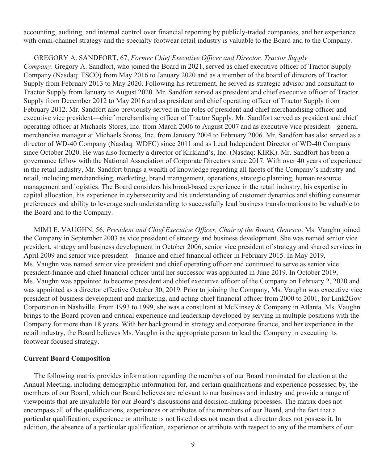accounting, auditing, and internal control over financial reporting by publicly-traded companies, and her experience with omni-channel strategy and the specialty footwear retail industry is valuable to the Board and to the Company.

#### GREGORY A. SANDFORT, 67, *Former Chief Executive Officer and Director, Tractor Supply*

*Company*. Gregory A. Sandfort, who joined the Board in 2021, served as chief executive officer of Tractor Supply Company (Nasdaq: TSCO) from May 2016 to January 2020 and as a member of the board of directors of Tractor Supply from February 2013 to May 2020. Following his retirement, he served as strategic advisor and consultant to Tractor Supply from January to August 2020. Mr. Sandfort served as president and chief executive officer of Tractor Supply from December 2012 to May 2016 and as president and chief operating officer of Tractor Supply from February 2012. Mr. Sandfort also previously served in the roles of president and chief merchandising officer and executive vice president—chief merchandising officer of Tractor Supply. Mr. Sandfort served as president and chief operating officer at Michaels Stores, Inc. from March 2006 to August 2007 and as executive vice president—general merchandise manager at Michaels Stores, Inc. from January 2004 to February 2006. Mr. Sandfort has also served as a director of WD-40 Company (Nasdaq: WDFC) since 2011 and as Lead Independent Director of WD-40 Company since October 2020. He was also formerly a director of Kirkland's, Inc. (Nasdaq: KIRK). Mr. Sandfort has been a governance fellow with the National Association of Corporate Directors since 2017. With over 40 years of experience in the retail industry, Mr. Sandfort brings a wealth of knowledge regarding all facets of the Company's industry and retail, including merchandising, marketing, brand management, operations, strategic planning, human resource management and logistics. The Board considers his broad-based experience in the retail industry, his expertise in capital allocation, his experience in cybersecurity and his understanding of customer dynamics and shifting consumer preferences and ability to leverage such understanding to successfully lead business transformations to be valuable to the Board and to the Company.

MIMI E. VAUGHN, 56, *President and Chief Executive Officer, Chair of the Board, Genesco*. Ms. Vaughn joined the Company in September 2003 as vice president of strategy and business development. She was named senior vice president, strategy and business development in October 2006, senior vice president of strategy and shared services in April 2009 and senior vice president—finance and chief financial officer in February 2015. In May 2019, Ms. Vaughn was named senior vice president and chief operating officer and continued to serve as senior vice president-finance and chief financial officer until her successor was appointed in June 2019. In October 2019, Ms. Vaughn was appointed to become president and chief executive officer of the Company on February 2, 2020 and was appointed as a director effective October 30, 2019. Prior to joining the Company, Ms. Vaughn was executive vice president of business development and marketing, and acting chief financial officer from 2000 to 2001, for Link2Gov Corporation in Nashville. From 1993 to 1999, she was a consultant at McKinsey & Company in Atlanta. Ms. Vaughn brings to the Board proven and critical experience and leadership developed by serving in multiple positions with the Company for more than 18 years. With her background in strategy and corporate finance, and her experience in the retail industry, the Board believes Ms. Vaughn is the appropriate person to lead the Company in executing its footwear focused strategy.

## **Current Board Composition**

The following matrix provides information regarding the members of our Board nominated for election at the Annual Meeting, including demographic information for, and certain qualifications and experience possessed by, the members of our Board, which our Board believes are relevant to our business and industry and provide a range of viewpoints that are invaluable for our Board's discussions and decision-making processes. The matrix does not encompass all of the qualifications, experiences or attributes of the members of our Board, and the fact that a particular qualification, experience or attribute is not listed does not mean that a director does not possess it. In addition, the absence of a particular qualification, experience or attribute with respect to any of the members of our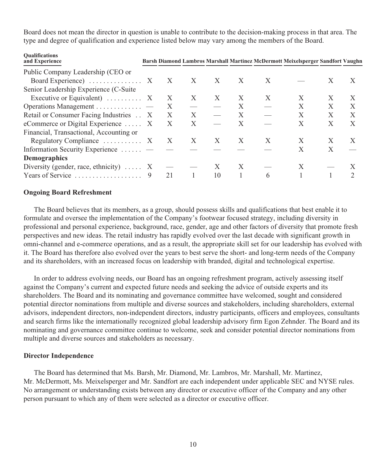Board does not mean the director in question is unable to contribute to the decision-making process in that area. The type and degree of qualification and experience listed below may vary among the members of the Board.

| <b>Qualifications</b><br>and Experience           |              |   |    |   |   | Barsh Diamond Lambros Marshall Martinez McDermott Meixelsperger Sandfort Vaughn |   |   |
|---------------------------------------------------|--------------|---|----|---|---|---------------------------------------------------------------------------------|---|---|
| Public Company Leadership (CEO or                 |              |   |    |   |   |                                                                                 |   |   |
| Board Experience) $\ldots \ldots \ldots \ldots$ X | $\mathbf{X}$ | X | X  | X | X |                                                                                 | X | X |
| Senior Leadership Experience (C-Suite             |              |   |    |   |   |                                                                                 |   |   |
| Executive or Equivalent) $\ldots$ $\ldots$ X      | X            | X | X  | X | X | X                                                                               | X | X |
| Operations Management                             | X            |   |    | X |   |                                                                                 | X | X |
| Retail or Consumer Facing Industries . X          | X            | X |    | X |   | X                                                                               | X | X |
| eCommerce or Digital Experience  X                | X            | X |    | X |   | X                                                                               | X | X |
| Financial, Transactional, Accounting or           |              |   |    |   |   |                                                                                 |   |   |
| Regulatory Compliance $\dots \dots \dots$ X X     |              | X | X  | X | X | X                                                                               | X | X |
| Information Security Experience                   |              |   |    |   |   | X                                                                               | X |   |
| <b>Demographics</b>                               |              |   |    |   |   |                                                                                 |   |   |
| Diversity (gender, race, ethnicity) $\dots$ X     |              |   |    | X |   |                                                                                 |   |   |
| Years of Service                                  | 21           |   | 10 |   | 6 |                                                                                 |   |   |

#### **Ongoing Board Refreshment**

The Board believes that its members, as a group, should possess skills and qualifications that best enable it to formulate and oversee the implementation of the Company's footwear focused strategy, including diversity in professional and personal experience, background, race, gender, age and other factors of diversity that promote fresh perspectives and new ideas. The retail industry has rapidly evolved over the last decade with significant growth in omni-channel and e-commerce operations, and as a result, the appropriate skill set for our leadership has evolved with it. The Board has therefore also evolved over the years to best serve the short- and long-term needs of the Company and its shareholders, with an increased focus on leadership with branded, digital and technological expertise.

In order to address evolving needs, our Board has an ongoing refreshment program, actively assessing itself against the Company's current and expected future needs and seeking the advice of outside experts and its shareholders. The Board and its nominating and governance committee have welcomed, sought and considered potential director nominations from multiple and diverse sources and stakeholders, including shareholders, external advisors, independent directors, non-independent directors, industry participants, officers and employees, consultants and search firms like the internationally recognized global leadership advisory firm Egon Zehnder. The Board and its nominating and governance committee continue to welcome, seek and consider potential director nominations from multiple and diverse sources and stakeholders as necessary.

#### **Director Independence**

The Board has determined that Ms. Barsh, Mr. Diamond, Mr. Lambros, Mr. Marshall, Mr. Martinez, Mr. McDermott, Ms. Meixelsperger and Mr. Sandfort are each independent under applicable SEC and NYSE rules. No arrangement or understanding exists between any director or executive officer of the Company and any other person pursuant to which any of them were selected as a director or executive officer.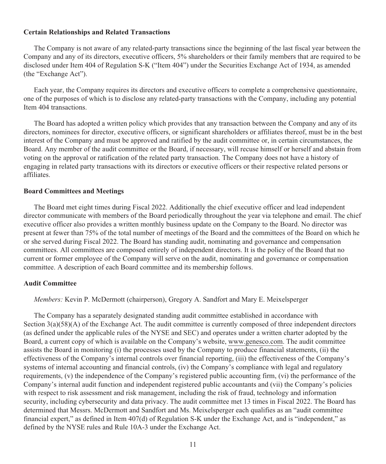#### **Certain Relationships and Related Transactions**

The Company is not aware of any related-party transactions since the beginning of the last fiscal year between the Company and any of its directors, executive officers, 5% shareholders or their family members that are required to be disclosed under Item 404 of Regulation S-K ("Item 404") under the Securities Exchange Act of 1934, as amended (the "Exchange Act").

Each year, the Company requires its directors and executive officers to complete a comprehensive questionnaire, one of the purposes of which is to disclose any related-party transactions with the Company, including any potential Item 404 transactions.

The Board has adopted a written policy which provides that any transaction between the Company and any of its directors, nominees for director, executive officers, or significant shareholders or affiliates thereof, must be in the best interest of the Company and must be approved and ratified by the audit committee or, in certain circumstances, the Board. Any member of the audit committee or the Board, if necessary, will recuse himself or herself and abstain from voting on the approval or ratification of the related party transaction. The Company does not have a history of engaging in related party transactions with its directors or executive officers or their respective related persons or affiliates.

#### **Board Committees and Meetings**

The Board met eight times during Fiscal 2022. Additionally the chief executive officer and lead independent director communicate with members of the Board periodically throughout the year via telephone and email. The chief executive officer also provides a written monthly business update on the Company to the Board. No director was present at fewer than 75% of the total number of meetings of the Board and the committees of the Board on which he or she served during Fiscal 2022. The Board has standing audit, nominating and governance and compensation committees. All committees are composed entirely of independent directors. It is the policy of the Board that no current or former employee of the Company will serve on the audit, nominating and governance or compensation committee. A description of each Board committee and its membership follows.

#### **Audit Committee**

*Members:* Kevin P. McDermott (chairperson), Gregory A. Sandfort and Mary E. Meixelsperger

The Company has a separately designated standing audit committee established in accordance with Section 3(a)(58)(A) of the Exchange Act. The audit committee is currently composed of three independent directors (as defined under the applicable rules of the NYSE and SEC) and operates under a written charter adopted by the Board, a current copy of which is available on the Company's website, www.genesco.com. The audit committee assists the Board in monitoring (i) the processes used by the Company to produce financial statements, (ii) the effectiveness of the Company's internal controls over financial reporting, (iii) the effectiveness of the Company's systems of internal accounting and financial controls, (iv) the Company's compliance with legal and regulatory requirements, (v) the independence of the Company's registered public accounting firm, (vi) the performance of the Company's internal audit function and independent registered public accountants and (vii) the Company's policies with respect to risk assessment and risk management, including the risk of fraud, technology and information security, including cybersecurity and data privacy. The audit committee met 13 times in Fiscal 2022. The Board has determined that Messrs. McDermott and Sandfort and Ms. Meixelsperger each qualifies as an "audit committee financial expert," as defined in Item 407(d) of Regulation S-K under the Exchange Act, and is "independent," as defined by the NYSE rules and Rule 10A-3 under the Exchange Act.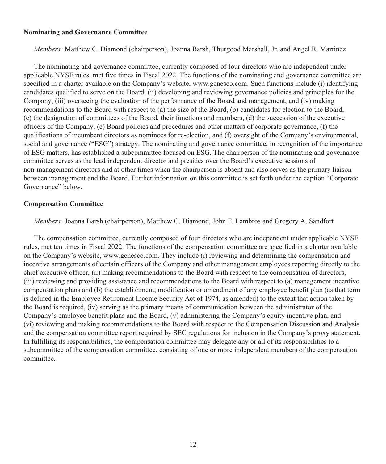#### **Nominating and Governance Committee**

*Members:* Matthew C. Diamond (chairperson), Joanna Barsh, Thurgood Marshall, Jr. and Angel R. Martinez

The nominating and governance committee, currently composed of four directors who are independent under applicable NYSE rules, met five times in Fiscal 2022. The functions of the nominating and governance committee are specified in a charter available on the Company's website, www.genesco.com. Such functions include (i) identifying candidates qualified to serve on the Board, (ii) developing and reviewing governance policies and principles for the Company, (iii) overseeing the evaluation of the performance of the Board and management, and (iv) making recommendations to the Board with respect to (a) the size of the Board, (b) candidates for election to the Board, (c) the designation of committees of the Board, their functions and members, (d) the succession of the executive officers of the Company, (e) Board policies and procedures and other matters of corporate governance, (f) the qualifications of incumbent directors as nominees for re-election, and (f) oversight of the Company's environmental, social and governance ("ESG") strategy. The nominating and governance committee, in recognition of the importance of ESG matters, has established a subcommittee focused on ESG. The chairperson of the nominating and governance committee serves as the lead independent director and presides over the Board's executive sessions of non-management directors and at other times when the chairperson is absent and also serves as the primary liaison between management and the Board. Further information on this committee is set forth under the caption "Corporate Governance" below.

#### **Compensation Committee**

*Members:* Joanna Barsh (chairperson), Matthew C. Diamond, John F. Lambros and Gregory A. Sandfort

The compensation committee, currently composed of four directors who are independent under applicable NYSE rules, met ten times in Fiscal 2022. The functions of the compensation committee are specified in a charter available on the Company's website, www.genesco.com. They include (i) reviewing and determining the compensation and incentive arrangements of certain officers of the Company and other management employees reporting directly to the chief executive officer, (ii) making recommendations to the Board with respect to the compensation of directors, (iii) reviewing and providing assistance and recommendations to the Board with respect to (a) management incentive compensation plans and (b) the establishment, modification or amendment of any employee benefit plan (as that term is defined in the Employee Retirement Income Security Act of 1974, as amended) to the extent that action taken by the Board is required, (iv) serving as the primary means of communication between the administrator of the Company's employee benefit plans and the Board, (v) administering the Company's equity incentive plan, and (vi) reviewing and making recommendations to the Board with respect to the Compensation Discussion and Analysis and the compensation committee report required by SEC regulations for inclusion in the Company's proxy statement. In fulfilling its responsibilities, the compensation committee may delegate any or all of its responsibilities to a subcommittee of the compensation committee, consisting of one or more independent members of the compensation committee.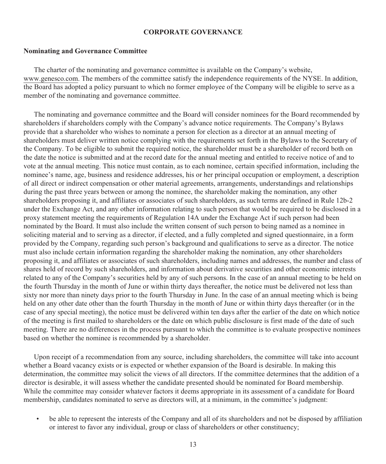#### **CORPORATE GOVERNANCE**

#### **Nominating and Governance Committee**

The charter of the nominating and governance committee is available on the Company's website, www.genesco.com. The members of the committee satisfy the independence requirements of the NYSE. In addition, the Board has adopted a policy pursuant to which no former employee of the Company will be eligible to serve as a member of the nominating and governance committee.

The nominating and governance committee and the Board will consider nominees for the Board recommended by shareholders if shareholders comply with the Company's advance notice requirements. The Company's Bylaws provide that a shareholder who wishes to nominate a person for election as a director at an annual meeting of shareholders must deliver written notice complying with the requirements set forth in the Bylaws to the Secretary of the Company. To be eligible to submit the required notice, the shareholder must be a shareholder of record both on the date the notice is submitted and at the record date for the annual meeting and entitled to receive notice of and to vote at the annual meeting. This notice must contain, as to each nominee, certain specified information, including the nominee's name, age, business and residence addresses, his or her principal occupation or employment, a description of all direct or indirect compensation or other material agreements, arrangements, understandings and relationships during the past three years between or among the nominee, the shareholder making the nomination, any other shareholders proposing it, and affiliates or associates of such shareholders, as such terms are defined in Rule 12b-2 under the Exchange Act, and any other information relating to such person that would be required to be disclosed in a proxy statement meeting the requirements of Regulation 14A under the Exchange Act if such person had been nominated by the Board. It must also include the written consent of such person to being named as a nominee in soliciting material and to serving as a director, if elected, and a fully completed and signed questionnaire, in a form provided by the Company, regarding such person's background and qualifications to serve as a director. The notice must also include certain information regarding the shareholder making the nomination, any other shareholders proposing it, and affiliates or associates of such shareholders, including names and addresses, the number and class of shares held of record by such shareholders, and information about derivative securities and other economic interests related to any of the Company's securities held by any of such persons. In the case of an annual meeting to be held on the fourth Thursday in the month of June or within thirty days thereafter, the notice must be delivered not less than sixty nor more than ninety days prior to the fourth Thursday in June. In the case of an annual meeting which is being held on any other date other than the fourth Thursday in the month of June or within thirty days thereafter (or in the case of any special meeting), the notice must be delivered within ten days after the earlier of the date on which notice of the meeting is first mailed to shareholders or the date on which public disclosure is first made of the date of such meeting. There are no differences in the process pursuant to which the committee is to evaluate prospective nominees based on whether the nominee is recommended by a shareholder.

Upon receipt of a recommendation from any source, including shareholders, the committee will take into account whether a Board vacancy exists or is expected or whether expansion of the Board is desirable. In making this determination, the committee may solicit the views of all directors. If the committee determines that the addition of a director is desirable, it will assess whether the candidate presented should be nominated for Board membership. While the committee may consider whatever factors it deems appropriate in its assessment of a candidate for Board membership, candidates nominated to serve as directors will, at a minimum, in the committee's judgment:

• be able to represent the interests of the Company and all of its shareholders and not be disposed by affiliation or interest to favor any individual, group or class of shareholders or other constituency;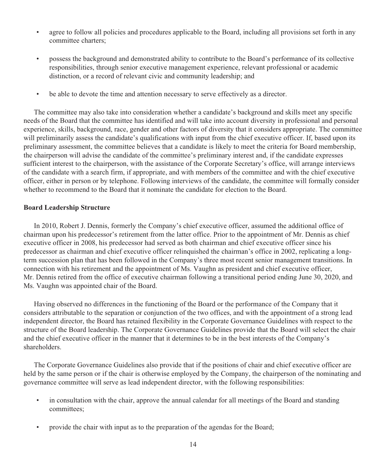- agree to follow all policies and procedures applicable to the Board, including all provisions set forth in any committee charters;
- possess the background and demonstrated ability to contribute to the Board's performance of its collective responsibilities, through senior executive management experience, relevant professional or academic distinction, or a record of relevant civic and community leadership; and
- be able to devote the time and attention necessary to serve effectively as a director.

The committee may also take into consideration whether a candidate's background and skills meet any specific needs of the Board that the committee has identified and will take into account diversity in professional and personal experience, skills, background, race, gender and other factors of diversity that it considers appropriate. The committee will preliminarily assess the candidate's qualifications with input from the chief executive officer. If, based upon its preliminary assessment, the committee believes that a candidate is likely to meet the criteria for Board membership, the chairperson will advise the candidate of the committee's preliminary interest and, if the candidate expresses sufficient interest to the chairperson, with the assistance of the Corporate Secretary's office, will arrange interviews of the candidate with a search firm, if appropriate, and with members of the committee and with the chief executive officer, either in person or by telephone. Following interviews of the candidate, the committee will formally consider whether to recommend to the Board that it nominate the candidate for election to the Board.

#### **Board Leadership Structure**

In 2010, Robert J. Dennis, formerly the Company's chief executive officer, assumed the additional office of chairman upon his predecessor's retirement from the latter office. Prior to the appointment of Mr. Dennis as chief executive officer in 2008, his predecessor had served as both chairman and chief executive officer since his predecessor as chairman and chief executive officer relinquished the chairman's office in 2002, replicating a longterm succession plan that has been followed in the Company's three most recent senior management transitions. In connection with his retirement and the appointment of Ms. Vaughn as president and chief executive officer, Mr. Dennis retired from the office of executive chairman following a transitional period ending June 30, 2020, and Ms. Vaughn was appointed chair of the Board.

Having observed no differences in the functioning of the Board or the performance of the Company that it considers attributable to the separation or conjunction of the two offices, and with the appointment of a strong lead independent director, the Board has retained flexibility in the Corporate Governance Guidelines with respect to the structure of the Board leadership. The Corporate Governance Guidelines provide that the Board will select the chair and the chief executive officer in the manner that it determines to be in the best interests of the Company's shareholders.

The Corporate Governance Guidelines also provide that if the positions of chair and chief executive officer are held by the same person or if the chair is otherwise employed by the Company, the chairperson of the nominating and governance committee will serve as lead independent director, with the following responsibilities:

- in consultation with the chair, approve the annual calendar for all meetings of the Board and standing committees;
- provide the chair with input as to the preparation of the agendas for the Board;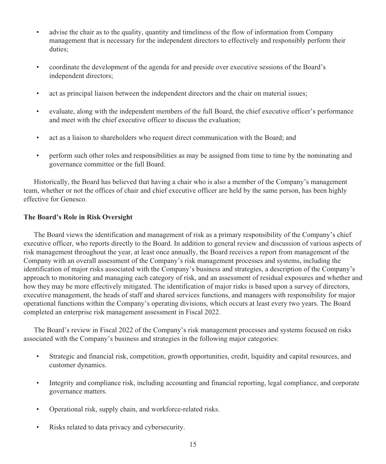- advise the chair as to the quality, quantity and timeliness of the flow of information from Company management that is necessary for the independent directors to effectively and responsibly perform their duties;
- coordinate the development of the agenda for and preside over executive sessions of the Board's independent directors;
- act as principal liaison between the independent directors and the chair on material issues;
- evaluate, along with the independent members of the full Board, the chief executive officer's performance and meet with the chief executive officer to discuss the evaluation;
- act as a liaison to shareholders who request direct communication with the Board; and
- perform such other roles and responsibilities as may be assigned from time to time by the nominating and governance committee or the full Board.

Historically, the Board has believed that having a chair who is also a member of the Company's management team, whether or not the offices of chair and chief executive officer are held by the same person, has been highly effective for Genesco.

## **The Board's Role in Risk Oversight**

The Board views the identification and management of risk as a primary responsibility of the Company's chief executive officer, who reports directly to the Board. In addition to general review and discussion of various aspects of risk management throughout the year, at least once annually, the Board receives a report from management of the Company with an overall assessment of the Company's risk management processes and systems, including the identification of major risks associated with the Company's business and strategies, a description of the Company's approach to monitoring and managing each category of risk, and an assessment of residual exposures and whether and how they may be more effectively mitigated. The identification of major risks is based upon a survey of directors, executive management, the heads of staff and shared services functions, and managers with responsibility for major operational functions within the Company's operating divisions, which occurs at least every two years. The Board completed an enterprise risk management assessment in Fiscal 2022.

The Board's review in Fiscal 2022 of the Company's risk management processes and systems focused on risks associated with the Company's business and strategies in the following major categories:

- Strategic and financial risk, competition, growth opportunities, credit, liquidity and capital resources, and customer dynamics.
- Integrity and compliance risk, including accounting and financial reporting, legal compliance, and corporate governance matters.
- Operational risk, supply chain, and workforce-related risks.
- Risks related to data privacy and cybersecurity.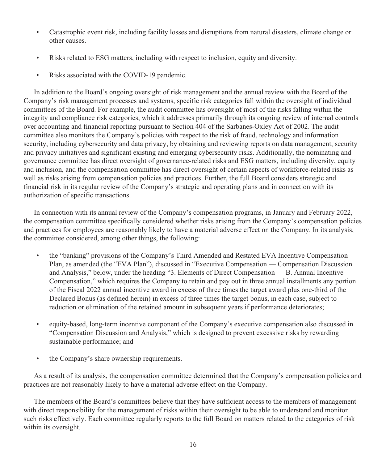- Catastrophic event risk, including facility losses and disruptions from natural disasters, climate change or other causes.
- Risks related to ESG matters, including with respect to inclusion, equity and diversity.
- Risks associated with the COVID-19 pandemic.

In addition to the Board's ongoing oversight of risk management and the annual review with the Board of the Company's risk management processes and systems, specific risk categories fall within the oversight of individual committees of the Board. For example, the audit committee has oversight of most of the risks falling within the integrity and compliance risk categories, which it addresses primarily through its ongoing review of internal controls over accounting and financial reporting pursuant to Section 404 of the Sarbanes-Oxley Act of 2002. The audit committee also monitors the Company's policies with respect to the risk of fraud, technology and information security, including cybersecurity and data privacy, by obtaining and reviewing reports on data management, security and privacy initiatives and significant existing and emerging cybersecurity risks. Additionally, the nominating and governance committee has direct oversight of governance-related risks and ESG matters, including diversity, equity and inclusion, and the compensation committee has direct oversight of certain aspects of workforce-related risks as well as risks arising from compensation policies and practices. Further, the full Board considers strategic and financial risk in its regular review of the Company's strategic and operating plans and in connection with its authorization of specific transactions.

In connection with its annual review of the Company's compensation programs, in January and February 2022, the compensation committee specifically considered whether risks arising from the Company's compensation policies and practices for employees are reasonably likely to have a material adverse effect on the Company. In its analysis, the committee considered, among other things, the following:

- the "banking" provisions of the Company's Third Amended and Restated EVA Incentive Compensation Plan, as amended (the "EVA Plan"), discussed in "Executive Compensation — Compensation Discussion and Analysis," below, under the heading "3. Elements of Direct Compensation — B. Annual Incentive Compensation," which requires the Company to retain and pay out in three annual installments any portion of the Fiscal 2022 annual incentive award in excess of three times the target award plus one-third of the Declared Bonus (as defined herein) in excess of three times the target bonus, in each case, subject to reduction or elimination of the retained amount in subsequent years if performance deteriorates;
- equity-based, long-term incentive component of the Company's executive compensation also discussed in "Compensation Discussion and Analysis," which is designed to prevent excessive risks by rewarding sustainable performance; and
- the Company's share ownership requirements.

As a result of its analysis, the compensation committee determined that the Company's compensation policies and practices are not reasonably likely to have a material adverse effect on the Company.

The members of the Board's committees believe that they have sufficient access to the members of management with direct responsibility for the management of risks within their oversight to be able to understand and monitor such risks effectively. Each committee regularly reports to the full Board on matters related to the categories of risk within its oversight.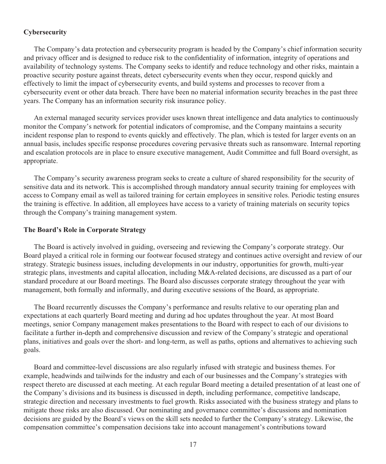## **Cybersecurity**

The Company's data protection and cybersecurity program is headed by the Company's chief information security and privacy officer and is designed to reduce risk to the confidentiality of information, integrity of operations and availability of technology systems. The Company seeks to identify and reduce technology and other risks, maintain a proactive security posture against threats, detect cybersecurity events when they occur, respond quickly and effectively to limit the impact of cybersecurity events, and build systems and processes to recover from a cybersecurity event or other data breach. There have been no material information security breaches in the past three years. The Company has an information security risk insurance policy.

An external managed security services provider uses known threat intelligence and data analytics to continuously monitor the Company's network for potential indicators of compromise, and the Company maintains a security incident response plan to respond to events quickly and effectively. The plan, which is tested for larger events on an annual basis, includes specific response procedures covering pervasive threats such as ransomware. Internal reporting and escalation protocols are in place to ensure executive management, Audit Committee and full Board oversight, as appropriate.

The Company's security awareness program seeks to create a culture of shared responsibility for the security of sensitive data and its network. This is accomplished through mandatory annual security training for employees with access to Company email as well as tailored training for certain employees in sensitive roles. Periodic testing ensures the training is effective. In addition, all employees have access to a variety of training materials on security topics through the Company's training management system.

#### **The Board's Role in Corporate Strategy**

The Board is actively involved in guiding, overseeing and reviewing the Company's corporate strategy. Our Board played a critical role in forming our footwear focused strategy and continues active oversight and review of our strategy. Strategic business issues, including developments in our industry, opportunities for growth, multi-year strategic plans, investments and capital allocation, including M&A-related decisions, are discussed as a part of our standard procedure at our Board meetings. The Board also discusses corporate strategy throughout the year with management, both formally and informally, and during executive sessions of the Board, as appropriate.

The Board recurrently discusses the Company's performance and results relative to our operating plan and expectations at each quarterly Board meeting and during ad hoc updates throughout the year. At most Board meetings, senior Company management makes presentations to the Board with respect to each of our divisions to facilitate a further in-depth and comprehensive discussion and review of the Company's strategic and operational plans, initiatives and goals over the short- and long-term, as well as paths, options and alternatives to achieving such goals.

Board and committee-level discussions are also regularly infused with strategic and business themes. For example, headwinds and tailwinds for the industry and each of our businesses and the Company's strategies with respect thereto are discussed at each meeting. At each regular Board meeting a detailed presentation of at least one of the Company's divisions and its business is discussed in depth, including performance, competitive landscape, strategic direction and necessary investments to fuel growth. Risks associated with the business strategy and plans to mitigate those risks are also discussed. Our nominating and governance committee's discussions and nomination decisions are guided by the Board's views on the skill sets needed to further the Company's strategy. Likewise, the compensation committee's compensation decisions take into account management's contributions toward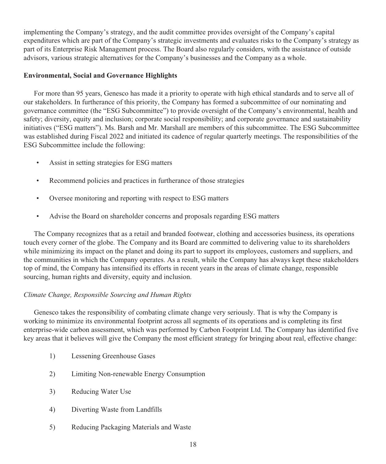implementing the Company's strategy, and the audit committee provides oversight of the Company's capital expenditures which are part of the Company's strategic investments and evaluates risks to the Company's strategy as part of its Enterprise Risk Management process. The Board also regularly considers, with the assistance of outside advisors, various strategic alternatives for the Company's businesses and the Company as a whole.

## **Environmental, Social and Governance Highlights**

For more than 95 years, Genesco has made it a priority to operate with high ethical standards and to serve all of our stakeholders. In furtherance of this priority, the Company has formed a subcommittee of our nominating and governance committee (the "ESG Subcommittee") to provide oversight of the Company's environmental, health and safety; diversity, equity and inclusion; corporate social responsibility; and corporate governance and sustainability initiatives ("ESG matters"). Ms. Barsh and Mr. Marshall are members of this subcommittee. The ESG Subcommittee was established during Fiscal 2022 and initiated its cadence of regular quarterly meetings. The responsibilities of the ESG Subcommittee include the following:

- Assist in setting strategies for ESG matters
- Recommend policies and practices in furtherance of those strategies
- Oversee monitoring and reporting with respect to ESG matters
- Advise the Board on shareholder concerns and proposals regarding ESG matters

The Company recognizes that as a retail and branded footwear, clothing and accessories business, its operations touch every corner of the globe. The Company and its Board are committed to delivering value to its shareholders while minimizing its impact on the planet and doing its part to support its employees, customers and suppliers, and the communities in which the Company operates. As a result, while the Company has always kept these stakeholders top of mind, the Company has intensified its efforts in recent years in the areas of climate change, responsible sourcing, human rights and diversity, equity and inclusion.

# *Climate Change, Responsible Sourcing and Human Rights*

Genesco takes the responsibility of combating climate change very seriously. That is why the Company is working to minimize its environmental footprint across all segments of its operations and is completing its first enterprise-wide carbon assessment, which was performed by Carbon Footprint Ltd. The Company has identified five key areas that it believes will give the Company the most efficient strategy for bringing about real, effective change:

- 1) Lessening Greenhouse Gases
- 2) Limiting Non-renewable Energy Consumption
- 3) Reducing Water Use
- 4) Diverting Waste from Landfills
- 5) Reducing Packaging Materials and Waste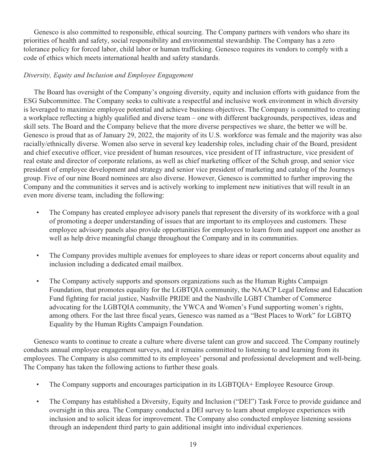Genesco is also committed to responsible, ethical sourcing. The Company partners with vendors who share its priorities of health and safety, social responsibility and environmental stewardship. The Company has a zero tolerance policy for forced labor, child labor or human trafficking. Genesco requires its vendors to comply with a code of ethics which meets international health and safety standards.

# *Diversity, Equity and Inclusion and Employee Engagement*

The Board has oversight of the Company's ongoing diversity, equity and inclusion efforts with guidance from the ESG Subcommittee. The Company seeks to cultivate a respectful and inclusive work environment in which diversity is leveraged to maximize employee potential and achieve business objectives. The Company is committed to creating a workplace reflecting a highly qualified and diverse team – one with different backgrounds, perspectives, ideas and skill sets. The Board and the Company believe that the more diverse perspectives we share, the better we will be. Genesco is proud that as of January 29, 2022, the majority of its U.S. workforce was female and the majority was also racially/ethnically diverse. Women also serve in several key leadership roles, including chair of the Board, president and chief executive officer, vice president of human resources, vice president of IT infrastructure, vice president of real estate and director of corporate relations, as well as chief marketing officer of the Schuh group, and senior vice president of employee development and strategy and senior vice president of marketing and catalog of the Journeys group. Five of our nine Board nominees are also diverse. However, Genesco is committed to further improving the Company and the communities it serves and is actively working to implement new initiatives that will result in an even more diverse team, including the following:

- The Company has created employee advisory panels that represent the diversity of its workforce with a goal of promoting a deeper understanding of issues that are important to its employees and customers. These employee advisory panels also provide opportunities for employees to learn from and support one another as well as help drive meaningful change throughout the Company and in its communities.
- The Company provides multiple avenues for employees to share ideas or report concerns about equality and inclusion including a dedicated email mailbox.
- The Company actively supports and sponsors organizations such as the Human Rights Campaign Foundation, that promotes equality for the LGBTQIA community, the NAACP Legal Defense and Education Fund fighting for racial justice, Nashville PRIDE and the Nashville LGBT Chamber of Commerce advocating for the LGBTQIA community, the YWCA and Women's Fund supporting women's rights, among others. For the last three fiscal years, Genesco was named as a "Best Places to Work" for LGBTQ Equality by the Human Rights Campaign Foundation.

Genesco wants to continue to create a culture where diverse talent can grow and succeed. The Company routinely conducts annual employee engagement surveys, and it remains committed to listening to and learning from its employees. The Company is also committed to its employees' personal and professional development and well-being. The Company has taken the following actions to further these goals.

- The Company supports and encourages participation in its LGBTQIA+ Employee Resource Group.
- The Company has established a Diversity, Equity and Inclusion ("DEI") Task Force to provide guidance and oversight in this area. The Company conducted a DEI survey to learn about employee experiences with inclusion and to solicit ideas for improvement. The Company also conducted employee listening sessions through an independent third party to gain additional insight into individual experiences.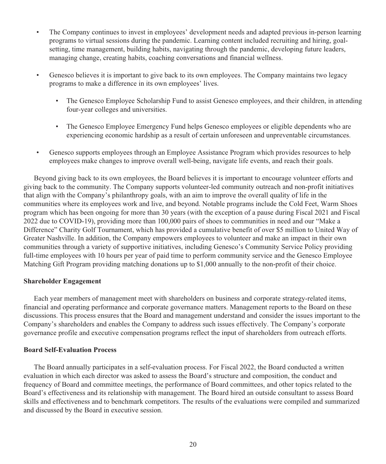- The Company continues to invest in employees' development needs and adapted previous in-person learning programs to virtual sessions during the pandemic. Learning content included recruiting and hiring, goalsetting, time management, building habits, navigating through the pandemic, developing future leaders, managing change, creating habits, coaching conversations and financial wellness.
- Genesco believes it is important to give back to its own employees. The Company maintains two legacy programs to make a difference in its own employees' lives.
	- The Genesco Employee Scholarship Fund to assist Genesco employees, and their children, in attending four-year colleges and universities.
	- The Genesco Employee Emergency Fund helps Genesco employees or eligible dependents who are experiencing economic hardship as a result of certain unforeseen and unpreventable circumstances.
- Genesco supports employees through an Employee Assistance Program which provides resources to help employees make changes to improve overall well-being, navigate life events, and reach their goals.

Beyond giving back to its own employees, the Board believes it is important to encourage volunteer efforts and giving back to the community. The Company supports volunteer-led community outreach and non-profit initiatives that align with the Company's philanthropy goals, with an aim to improve the overall quality of life in the communities where its employees work and live, and beyond. Notable programs include the Cold Feet, Warm Shoes program which has been ongoing for more than 30 years (with the exception of a pause during Fiscal 2021 and Fiscal 2022 due to COVID-19), providing more than 100,000 pairs of shoes to communities in need and our "Make a Difference" Charity Golf Tournament, which has provided a cumulative benefit of over \$5 million to United Way of Greater Nashville. In addition, the Company empowers employees to volunteer and make an impact in their own communities through a variety of supportive initiatives, including Genesco's Community Service Policy providing full-time employees with 10 hours per year of paid time to perform community service and the Genesco Employee Matching Gift Program providing matching donations up to \$1,000 annually to the non-profit of their choice.

#### **Shareholder Engagement**

Each year members of management meet with shareholders on business and corporate strategy-related items, financial and operating performance and corporate governance matters. Management reports to the Board on these discussions. This process ensures that the Board and management understand and consider the issues important to the Company's shareholders and enables the Company to address such issues effectively. The Company's corporate governance profile and executive compensation programs reflect the input of shareholders from outreach efforts.

#### **Board Self-Evaluation Process**

The Board annually participates in a self-evaluation process. For Fiscal 2022, the Board conducted a written evaluation in which each director was asked to assess the Board's structure and composition, the conduct and frequency of Board and committee meetings, the performance of Board committees, and other topics related to the Board's effectiveness and its relationship with management. The Board hired an outside consultant to assess Board skills and effectiveness and to benchmark competitors. The results of the evaluations were compiled and summarized and discussed by the Board in executive session.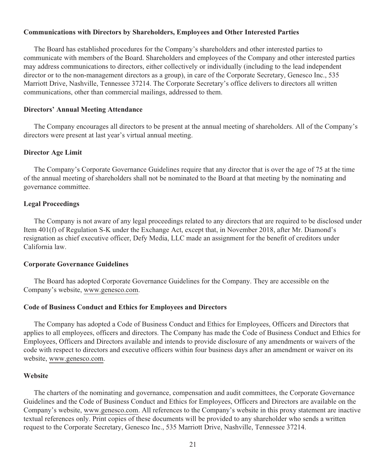## **Communications with Directors by Shareholders, Employees and Other Interested Parties**

The Board has established procedures for the Company's shareholders and other interested parties to communicate with members of the Board. Shareholders and employees of the Company and other interested parties may address communications to directors, either collectively or individually (including to the lead independent director or to the non-management directors as a group), in care of the Corporate Secretary, Genesco Inc., 535 Marriott Drive, Nashville, Tennessee 37214. The Corporate Secretary's office delivers to directors all written communications, other than commercial mailings, addressed to them.

#### **Directors' Annual Meeting Attendance**

The Company encourages all directors to be present at the annual meeting of shareholders. All of the Company's directors were present at last year's virtual annual meeting.

#### **Director Age Limit**

The Company's Corporate Governance Guidelines require that any director that is over the age of 75 at the time of the annual meeting of shareholders shall not be nominated to the Board at that meeting by the nominating and governance committee.

#### **Legal Proceedings**

The Company is not aware of any legal proceedings related to any directors that are required to be disclosed under Item 401(f) of Regulation S-K under the Exchange Act, except that, in November 2018, after Mr. Diamond's resignation as chief executive officer, Defy Media, LLC made an assignment for the benefit of creditors under California law.

#### **Corporate Governance Guidelines**

The Board has adopted Corporate Governance Guidelines for the Company. They are accessible on the Company's website, www.genesco.com.

#### **Code of Business Conduct and Ethics for Employees and Directors**

The Company has adopted a Code of Business Conduct and Ethics for Employees, Officers and Directors that applies to all employees, officers and directors. The Company has made the Code of Business Conduct and Ethics for Employees, Officers and Directors available and intends to provide disclosure of any amendments or waivers of the code with respect to directors and executive officers within four business days after an amendment or waiver on its website, www.genesco.com.

#### **Website**

The charters of the nominating and governance, compensation and audit committees, the Corporate Governance Guidelines and the Code of Business Conduct and Ethics for Employees, Officers and Directors are available on the Company's website, www.genesco.com. All references to the Company's website in this proxy statement are inactive textual references only. Print copies of these documents will be provided to any shareholder who sends a written request to the Corporate Secretary, Genesco Inc., 535 Marriott Drive, Nashville, Tennessee 37214.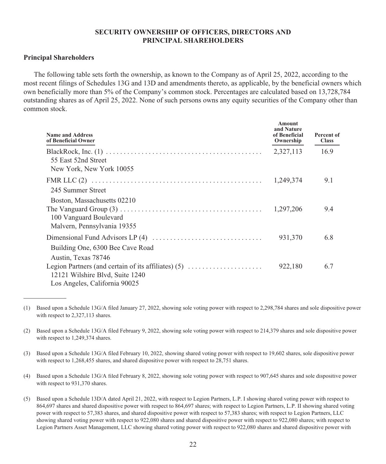## **SECURITY OWNERSHIP OF OFFICERS, DIRECTORS AND PRINCIPAL SHAREHOLDERS**

#### **Principal Shareholders**

The following table sets forth the ownership, as known to the Company as of April 25, 2022, according to the most recent filings of Schedules 13G and 13D and amendments thereto, as applicable, by the beneficial owners which own beneficially more than 5% of the Company's common stock. Percentages are calculated based on 13,728,784 outstanding shares as of April 25, 2022. None of such persons owns any equity securities of the Company other than common stock.

| <b>Name and Address</b><br>of Beneficial Owner                                                                            | Amount<br>and Nature<br>of Beneficial<br>Ownership | Percent of<br><b>Class</b> |
|---------------------------------------------------------------------------------------------------------------------------|----------------------------------------------------|----------------------------|
| 55 East 52nd Street<br>New York, New York 10055                                                                           | 2,327,113                                          | 16.9                       |
| 245 Summer Street                                                                                                         | 1,249,374                                          | 9.1                        |
| Boston, Massachusetts 02210<br>100 Vanguard Boulevard<br>Malvern, Pennsylvania 19355                                      | 1,297,206                                          | 9.4                        |
| Building One, 6300 Bee Cave Road<br>Austin, Texas 78746                                                                   | 931,370                                            | 6.8                        |
| Legion Partners (and certain of its affiliates) $(5)$<br>12121 Wilshire Blvd, Suite 1240<br>Los Angeles, California 90025 | 922,180                                            | 6.7                        |

<sup>(1)</sup> Based upon a Schedule 13G/A filed January 27, 2022, showing sole voting power with respect to 2,298,784 shares and sole dispositive power with respect to 2,327,113 shares.

<sup>(2)</sup> Based upon a Schedule 13G/A filed February 9, 2022, showing sole voting power with respect to 214,379 shares and sole dispositive power with respect to 1,249,374 shares.

<sup>(3)</sup> Based upon a Schedule 13G/A filed February 10, 2022, showing shared voting power with respect to 19,602 shares, sole dispositive power with respect to 1,268,455 shares, and shared dispositive power with respect to 28,751 shares.

<sup>(4)</sup> Based upon a Schedule 13G/A filed February 8, 2022, showing sole voting power with respect to 907,645 shares and sole dispositive power with respect to 931,370 shares.

<sup>(5)</sup> Based upon a Schedule 13D/A dated April 21, 2022, with respect to Legion Partners, L.P. I showing shared voting power with respect to 864,697 shares and shared dispositive power with respect to 864,697 shares; with respect to Legion Partners, L.P. II showing shared voting power with respect to 57,383 shares, and shared dispositive power with respect to 57,383 shares; with respect to Legion Partners, LLC showing shared voting power with respect to 922,080 shares and shared dispositive power with respect to 922,080 shares; with respect to Legion Partners Asset Management, LLC showing shared voting power with respect to 922,080 shares and shared dispositive power with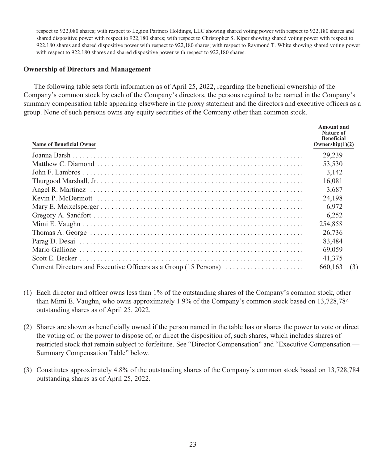respect to 922,080 shares; with respect to Legion Partners Holdings, LLC showing shared voting power with respect to 922,180 shares and shared dispositive power with respect to 922,180 shares; with respect to Christopher S. Kiper showing shared voting power with respect to 922,180 shares and shared dispositive power with respect to 922,180 shares; with respect to Raymond T. White showing shared voting power with respect to 922,180 shares and shared dispositive power with respect to 922,180 shares.

#### **Ownership of Directors and Management**

The following table sets forth information as of April 25, 2022, regarding the beneficial ownership of the Company's common stock by each of the Company's directors, the persons required to be named in the Company's summary compensation table appearing elsewhere in the proxy statement and the directors and executive officers as a group. None of such persons owns any equity securities of the Company other than common stock.

| Name of Beneficial Owner | Amount and<br>Nature of<br><b>Beneficial</b><br>Ownership $(1)(2)$ |     |
|--------------------------|--------------------------------------------------------------------|-----|
|                          | 29.239                                                             |     |
|                          | 53,530                                                             |     |
|                          | 3.142                                                              |     |
|                          | 16,081                                                             |     |
|                          | 3,687                                                              |     |
|                          | 24.198                                                             |     |
|                          | 6,972                                                              |     |
|                          | 6,252                                                              |     |
|                          | 254,858                                                            |     |
|                          | 26,736                                                             |     |
|                          | 83.484                                                             |     |
|                          | 69,059                                                             |     |
|                          | 41,375                                                             |     |
|                          | 660,163                                                            | (3) |

<sup>(1)</sup> Each director and officer owns less than 1% of the outstanding shares of the Company's common stock, other than Mimi E. Vaughn, who owns approximately 1.9% of the Company's common stock based on 13,728,784 outstanding shares as of April 25, 2022.

<sup>(2)</sup> Shares are shown as beneficially owned if the person named in the table has or shares the power to vote or direct the voting of, or the power to dispose of, or direct the disposition of, such shares, which includes shares of restricted stock that remain subject to forfeiture. See "Director Compensation" and "Executive Compensation — Summary Compensation Table" below.

<sup>(3)</sup> Constitutes approximately 4.8% of the outstanding shares of the Company's common stock based on 13,728,784 outstanding shares as of April 25, 2022.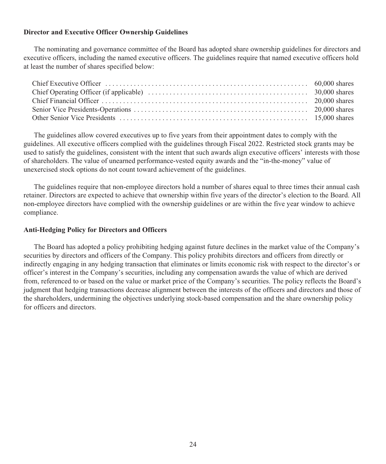## **Director and Executive Officer Ownership Guidelines**

The nominating and governance committee of the Board has adopted share ownership guidelines for directors and executive officers, including the named executive officers. The guidelines require that named executive officers hold at least the number of shares specified below:

The guidelines allow covered executives up to five years from their appointment dates to comply with the guidelines. All executive officers complied with the guidelines through Fiscal 2022. Restricted stock grants may be used to satisfy the guidelines, consistent with the intent that such awards align executive officers' interests with those of shareholders. The value of unearned performance-vested equity awards and the "in-the-money" value of unexercised stock options do not count toward achievement of the guidelines.

The guidelines require that non-employee directors hold a number of shares equal to three times their annual cash retainer. Directors are expected to achieve that ownership within five years of the director's election to the Board. All non-employee directors have complied with the ownership guidelines or are within the five year window to achieve compliance.

## **Anti-Hedging Policy for Directors and Officers**

The Board has adopted a policy prohibiting hedging against future declines in the market value of the Company's securities by directors and officers of the Company. This policy prohibits directors and officers from directly or indirectly engaging in any hedging transaction that eliminates or limits economic risk with respect to the director's or officer's interest in the Company's securities, including any compensation awards the value of which are derived from, referenced to or based on the value or market price of the Company's securities. The policy reflects the Board's judgment that hedging transactions decrease alignment between the interests of the officers and directors and those of the shareholders, undermining the objectives underlying stock-based compensation and the share ownership policy for officers and directors.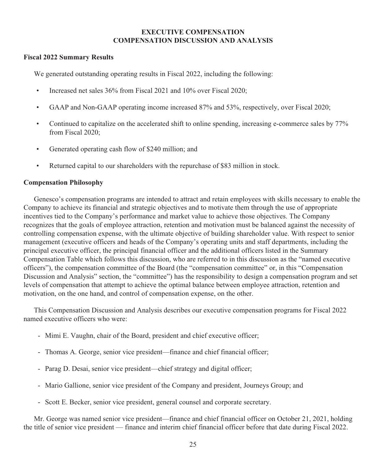## **EXECUTIVE COMPENSATION COMPENSATION DISCUSSION AND ANALYSIS**

## **Fiscal 2022 Summary Results**

We generated outstanding operating results in Fiscal 2022, including the following:

- Increased net sales 36% from Fiscal 2021 and 10% over Fiscal 2020;
- GAAP and Non-GAAP operating income increased 87% and 53%, respectively, over Fiscal 2020;
- Continued to capitalize on the accelerated shift to online spending, increasing e-commerce sales by 77% from Fiscal 2020;
- Generated operating cash flow of \$240 million; and
- Returned capital to our shareholders with the repurchase of \$83 million in stock.

#### **Compensation Philosophy**

Genesco's compensation programs are intended to attract and retain employees with skills necessary to enable the Company to achieve its financial and strategic objectives and to motivate them through the use of appropriate incentives tied to the Company's performance and market value to achieve those objectives. The Company recognizes that the goals of employee attraction, retention and motivation must be balanced against the necessity of controlling compensation expense, with the ultimate objective of building shareholder value. With respect to senior management (executive officers and heads of the Company's operating units and staff departments, including the principal executive officer, the principal financial officer and the additional officers listed in the Summary Compensation Table which follows this discussion, who are referred to in this discussion as the "named executive officers"), the compensation committee of the Board (the "compensation committee" or, in this "Compensation Discussion and Analysis" section, the "committee") has the responsibility to design a compensation program and set levels of compensation that attempt to achieve the optimal balance between employee attraction, retention and motivation, on the one hand, and control of compensation expense, on the other.

This Compensation Discussion and Analysis describes our executive compensation programs for Fiscal 2022 named executive officers who were:

- Mimi E. Vaughn, chair of the Board, president and chief executive officer;
- Thomas A. George, senior vice president—finance and chief financial officer;
- Parag D. Desai, senior vice president—chief strategy and digital officer;
- Mario Gallione, senior vice president of the Company and president, Journeys Group; and
- Scott E. Becker, senior vice president, general counsel and corporate secretary.

Mr. George was named senior vice president—finance and chief financial officer on October 21, 2021, holding the title of senior vice president — finance and interim chief financial officer before that date during Fiscal 2022.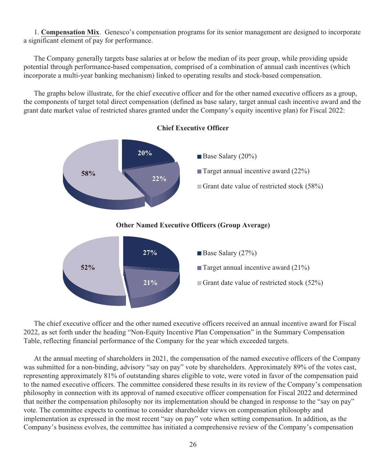1. **Compensation Mix**. Genesco's compensation programs for its senior management are designed to incorporate a significant element of pay for performance.

The Company generally targets base salaries at or below the median of its peer group, while providing upside potential through performance-based compensation, comprised of a combination of annual cash incentives (which incorporate a multi-year banking mechanism) linked to operating results and stock-based compensation.

The graphs below illustrate, for the chief executive officer and for the other named executive officers as a group, the components of target total direct compensation (defined as base salary, target annual cash incentive award and the grant date market value of restricted shares granted under the Company's equity incentive plan) for Fiscal 2022:



**Chief Executive Officer**

The chief executive officer and the other named executive officers received an annual incentive award for Fiscal 2022, as set forth under the heading "Non-Equity Incentive Plan Compensation" in the Summary Compensation Table, reflecting financial performance of the Company for the year which exceeded targets.

At the annual meeting of shareholders in 2021, the compensation of the named executive officers of the Company was submitted for a non-binding, advisory "say on pay" vote by shareholders. Approximately 89% of the votes cast, representing approximately 81% of outstanding shares eligible to vote, were voted in favor of the compensation paid to the named executive officers. The committee considered these results in its review of the Company's compensation philosophy in connection with its approval of named executive officer compensation for Fiscal 2022 and determined that neither the compensation philosophy nor its implementation should be changed in response to the "say on pay" vote. The committee expects to continue to consider shareholder views on compensation philosophy and implementation as expressed in the most recent "say on pay" vote when setting compensation. In addition, as the Company's business evolves, the committee has initiated a comprehensive review of the Company's compensation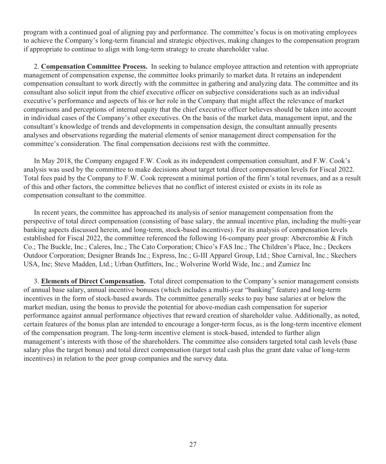program with a continued goal of aligning pay and performance. The committee's focus is on motivating employees to achieve the Company's long-term financial and strategic objectives, making changes to the compensation program if appropriate to continue to align with long-term strategy to create shareholder value.

2. **Compensation Committee Process.** In seeking to balance employee attraction and retention with appropriate management of compensation expense, the committee looks primarily to market data. It retains an independent compensation consultant to work directly with the committee in gathering and analyzing data. The committee and its consultant also solicit input from the chief executive officer on subjective considerations such as an individual executive's performance and aspects of his or her role in the Company that might affect the relevance of market comparisons and perceptions of internal equity that the chief executive officer believes should be taken into account in individual cases of the Company's other executives. On the basis of the market data, management input, and the consultant's knowledge of trends and developments in compensation design, the consultant annually presents analyses and observations regarding the material elements of senior management direct compensation for the committee's consideration. The final compensation decisions rest with the committee.

In May 2018, the Company engaged F.W. Cook as its independent compensation consultant, and F.W. Cook's analysis was used by the committee to make decisions about target total direct compensation levels for Fiscal 2022. Total fees paid by the Company to F.W. Cook represent a minimal portion of the firm's total revenues, and as a result of this and other factors, the committee believes that no conflict of interest existed or exists in its role as compensation consultant to the committee.

In recent years, the committee has approached its analysis of senior management compensation from the perspective of total direct compensation (consisting of base salary, the annual incentive plan, including the multi-year banking aspects discussed herein, and long-term, stock-based incentives). For its analysis of compensation levels established for Fiscal 2022, the committee referenced the following 16-company peer group: Abercrombie & Fitch Co.; The Buckle, Inc.; Caleres, Inc.; The Cato Corporation; Chico's FAS Inc.; The Children's Place, Inc.; Deckers Outdoor Corporation; Designer Brands Inc.; Express, Inc.; G-III Apparel Group, Ltd.; Shoe Carnival, Inc.; Skechers USA, Inc; Steve Madden, Ltd.; Urban Outfitters, Inc.; Wolverine World Wide, Inc.; and Zumiez Inc

3. **Elements of Direct Compensation.** Total direct compensation to the Company's senior management consists of annual base salary, annual incentive bonuses (which includes a multi-year "banking" feature) and long-term incentives in the form of stock-based awards. The committee generally seeks to pay base salaries at or below the market median, using the bonus to provide the potential for above-median cash compensation for superior performance against annual performance objectives that reward creation of shareholder value. Additionally, as noted, certain features of the bonus plan are intended to encourage a longer-term focus, as is the long-term incentive element of the compensation program. The long-term incentive element is stock-based, intended to further align management's interests with those of the shareholders. The committee also considers targeted total cash levels (base salary plus the target bonus) and total direct compensation (target total cash plus the grant date value of long-term incentives) in relation to the peer group companies and the survey data.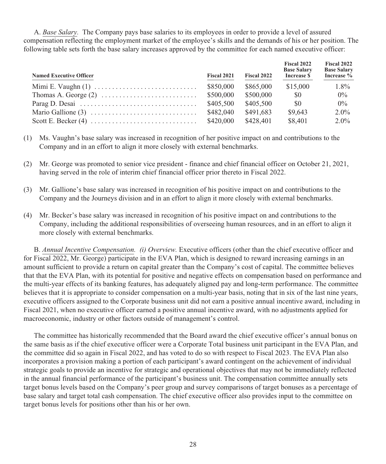A. *Base Salary.* The Company pays base salaries to its employees in order to provide a level of assured compensation reflecting the employment market of the employee's skills and the demands of his or her position. The following table sets forth the base salary increases approved by the committee for each named executive officer:

| <b>Named Executive Officer</b> | Fiscal 2021 | Fiscal 2022 | Fiscal 2022<br><b>Base Salary</b><br>Increase \$ | Fiscal 2022<br><b>Base Salary</b><br>Increase $%$ |
|--------------------------------|-------------|-------------|--------------------------------------------------|---------------------------------------------------|
|                                | \$850,000   | \$865,000   | \$15,000                                         | $1.8\%$                                           |
|                                | \$500,000   | \$500,000   | \$0                                              | $0\%$                                             |
|                                | \$405,500   | \$405,500   | \$0                                              | $0\%$                                             |
|                                | \$482,040   | \$491.683   | \$9,643                                          | $2.0\%$                                           |
|                                | \$420,000   | \$428,401   | \$8,401                                          | $2.0\%$                                           |

- (1) Ms. Vaughn's base salary was increased in recognition of her positive impact on and contributions to the Company and in an effort to align it more closely with external benchmarks.
- (2) Mr. George was promoted to senior vice president finance and chief financial officer on October 21, 2021, having served in the role of interim chief financial officer prior thereto in Fiscal 2022.
- (3) Mr. Gallione's base salary was increased in recognition of his positive impact on and contributions to the Company and the Journeys division and in an effort to align it more closely with external benchmarks.
- (4) Mr. Becker's base salary was increased in recognition of his positive impact on and contributions to the Company, including the additional responsibilities of overseeing human resources, and in an effort to align it more closely with external benchmarks.

B. *Annual Incentive Compensation. (i) Overview.* Executive officers (other than the chief executive officer and for Fiscal 2022, Mr. George) participate in the EVA Plan, which is designed to reward increasing earnings in an amount sufficient to provide a return on capital greater than the Company's cost of capital. The committee believes that that the EVA Plan, with its potential for positive and negative effects on compensation based on performance and the multi-year effects of its banking features, has adequately aligned pay and long-term performance. The committee believes that it is appropriate to consider compensation on a multi-year basis, noting that in six of the last nine years, executive officers assigned to the Corporate business unit did not earn a positive annual incentive award, including in Fiscal 2021, when no executive officer earned a positive annual incentive award, with no adjustments applied for macroeconomic, industry or other factors outside of management's control.

The committee has historically recommended that the Board award the chief executive officer's annual bonus on the same basis as if the chief executive officer were a Corporate Total business unit participant in the EVA Plan, and the committee did so again in Fiscal 2022, and has voted to do so with respect to Fiscal 2023. The EVA Plan also incorporates a provision making a portion of each participant's award contingent on the achievement of individual strategic goals to provide an incentive for strategic and operational objectives that may not be immediately reflected in the annual financial performance of the participant's business unit. The compensation committee annually sets target bonus levels based on the Company's peer group and survey comparisons of target bonuses as a percentage of base salary and target total cash compensation. The chief executive officer also provides input to the committee on target bonus levels for positions other than his or her own.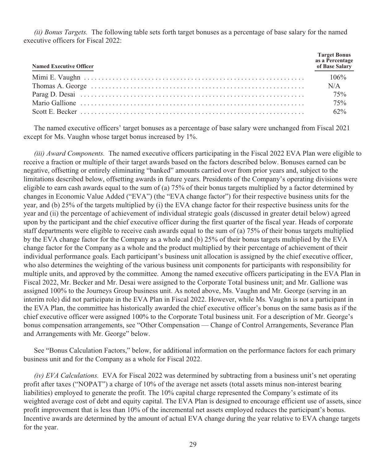*(ii) Bonus Targets.* The following table sets forth target bonuses as a percentage of base salary for the named executive officers for Fiscal 2022:

| <b>Named Executive Officer</b>                                                                                                                | Target Bonus<br>as a Percentage<br>of Base Salary |
|-----------------------------------------------------------------------------------------------------------------------------------------------|---------------------------------------------------|
|                                                                                                                                               |                                                   |
|                                                                                                                                               | N/A                                               |
|                                                                                                                                               | 75%                                               |
|                                                                                                                                               | 75%                                               |
| Scott E. Becker $\ldots$ $\ldots$ $\ldots$ $\ldots$ $\ldots$ $\ldots$ $\ldots$ $\ldots$ $\ldots$ $\ldots$ $\ldots$ $\ldots$ $\ldots$ $\ldots$ | 62%                                               |

The named executive officers' target bonuses as a percentage of base salary were unchanged from Fiscal 2021 except for Ms. Vaughn whose target bonus increased by 1%.

*(iii) Award Components.* The named executive officers participating in the Fiscal 2022 EVA Plan were eligible to receive a fraction or multiple of their target awards based on the factors described below. Bonuses earned can be negative, offsetting or entirely eliminating "banked" amounts carried over from prior years and, subject to the limitations described below, offsetting awards in future years. Presidents of the Company's operating divisions were eligible to earn cash awards equal to the sum of (a) 75% of their bonus targets multiplied by a factor determined by changes in Economic Value Added ("EVA") (the "EVA change factor") for their respective business units for the year, and (b) 25% of the targets multiplied by (i) the EVA change factor for their respective business units for the year and (ii) the percentage of achievement of individual strategic goals (discussed in greater detail below) agreed upon by the participant and the chief executive officer during the first quarter of the fiscal year. Heads of corporate staff departments were eligible to receive cash awards equal to the sum of (a) 75% of their bonus targets multiplied by the EVA change factor for the Company as a whole and (b) 25% of their bonus targets multiplied by the EVA change factor for the Company as a whole and the product multiplied by their percentage of achievement of their individual performance goals. Each participant's business unit allocation is assigned by the chief executive officer, who also determines the weighting of the various business unit components for participants with responsibility for multiple units, and approved by the committee. Among the named executive officers participating in the EVA Plan in Fiscal 2022, Mr. Becker and Mr. Desai were assigned to the Corporate Total business unit; and Mr. Gallione was assigned 100% to the Journeys Group business unit. As noted above, Ms. Vaughn and Mr. George (serving in an interim role) did not participate in the EVA Plan in Fiscal 2022. However, while Ms. Vaughn is not a participant in the EVA Plan, the committee has historically awarded the chief executive officer's bonus on the same basis as if the chief executive officer were assigned 100% to the Corporate Total business unit. For a description of Mr. George's bonus compensation arrangements, see "Other Compensation — Change of Control Arrangements, Severance Plan and Arrangements with Mr. George" below.

See "Bonus Calculation Factors," below, for additional information on the performance factors for each primary business unit and for the Company as a whole for Fiscal 2022.

*(iv) EVA Calculations.* EVA for Fiscal 2022 was determined by subtracting from a business unit's net operating profit after taxes ("NOPAT") a charge of 10% of the average net assets (total assets minus non-interest bearing liabilities) employed to generate the profit. The 10% capital charge represented the Company's estimate of its weighted average cost of debt and equity capital. The EVA Plan is designed to encourage efficient use of assets, since profit improvement that is less than 10% of the incremental net assets employed reduces the participant's bonus. Incentive awards are determined by the amount of actual EVA change during the year relative to EVA change targets for the year.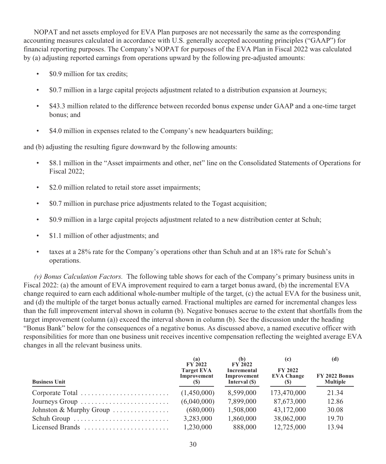NOPAT and net assets employed for EVA Plan purposes are not necessarily the same as the corresponding accounting measures calculated in accordance with U.S. generally accepted accounting principles ("GAAP") for financial reporting purposes. The Company's NOPAT for purposes of the EVA Plan in Fiscal 2022 was calculated by (a) adjusting reported earnings from operations upward by the following pre-adjusted amounts:

- \$0.9 million for tax credits;
- \$0.7 million in a large capital projects adjustment related to a distribution expansion at Journeys;
- \$43.3 million related to the difference between recorded bonus expense under GAAP and a one-time target bonus; and
- \$4.0 million in expenses related to the Company's new headquarters building;

and (b) adjusting the resulting figure downward by the following amounts:

- \$8.1 million in the "Asset impairments and other, net" line on the Consolidated Statements of Operations for Fiscal 2022;
- \$2.0 million related to retail store asset impairments;
- \$0.7 million in purchase price adjustments related to the Togast acquisition;
- \$0.9 million in a large capital projects adjustment related to a new distribution center at Schuh;
- \$1.1 million of other adjustments; and
- taxes at a 28% rate for the Company's operations other than Schuh and at an 18% rate for Schuh's operations.

*(v) Bonus Calculation Factors.* The following table shows for each of the Company's primary business units in Fiscal 2022: (a) the amount of EVA improvement required to earn a target bonus award, (b) the incremental EVA change required to earn each additional whole-number multiple of the target, (c) the actual EVA for the business unit, and (d) the multiple of the target bonus actually earned. Fractional multiples are earned for incremental changes less than the full improvement interval shown in column (b). Negative bonuses accrue to the extent that shortfalls from the target improvement (column (a)) exceed the interval shown in column (b). See the discussion under the heading "Bonus Bank" below for the consequences of a negative bonus. As discussed above, a named executive officer with responsibilities for more than one business unit receives incentive compensation reflecting the weighted average EVA changes in all the relevant business units.

| <b>Business Unit</b>                                           | (a)<br><b>FY 2022</b><br><b>Target EVA</b><br>Improvement<br>(S) | (b)<br><b>FY 2022</b><br>Incremental<br>Improvement<br>Interval (\$) | (c)<br><b>FY 2022</b><br><b>EVA Change</b><br>(S) | (d)<br><b>FY 2022 Bonus</b><br><b>Multiple</b> |
|----------------------------------------------------------------|------------------------------------------------------------------|----------------------------------------------------------------------|---------------------------------------------------|------------------------------------------------|
| Corporate Total                                                | (1,450,000)                                                      | 8.599.000                                                            | 173,470,000                                       | 21.34                                          |
| Journeys Group $\dots\dots\dots\dots\dots\dots\dots\dots\dots$ | (6,040,000)                                                      | 7,899,000                                                            | 87,673,000                                        | 12.86                                          |
| Johnston & Murphy Group                                        | (680,000)                                                        | 1,508,000                                                            | 43,172,000                                        | 30.08                                          |
| Schuh Group                                                    | 3,283,000                                                        | 1,860,000                                                            | 38,062,000                                        | 19.70                                          |
| Licensed Brands                                                | 1,230,000                                                        | 888,000                                                              | 12,725,000                                        | 13.94                                          |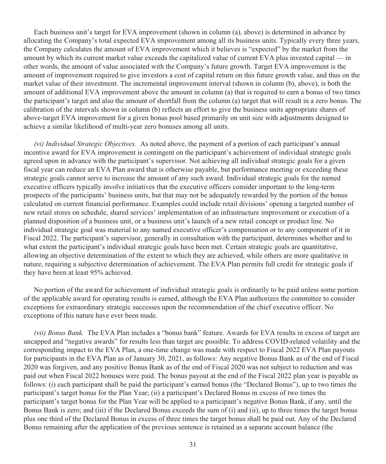Each business unit's target for EVA improvement (shown in column (a), above) is determined in advance by allocating the Company's total expected EVA improvement among all its business units. Typically every three years, the Company calculates the amount of EVA improvement which it believes is "expected" by the market from the amount by which its current market value exceeds the capitalized value of current EVA plus invested capital — in other words, the amount of value associated with the Company's future growth. Target EVA improvement is the amount of improvement required to give investors a cost of capital return on this future growth value, and thus on the market value of their investment. The incremental improvement interval (shown in column (b), above), is both the amount of additional EVA improvement above the amount in column (a) that is required to earn a bonus of two times the participant's target and also the amount of shortfall from the column (a) target that will result in a zero bonus. The calibration of the intervals shown in column (b) reflects an effort to give the business units appropriate shares of above-target EVA improvement for a given bonus pool based primarily on unit size with adjustments designed to achieve a similar likelihood of multi-year zero bonuses among all units.

*(vi) Individual Strategic Objectives.* As noted above, the payment of a portion of each participant's annual incentive award for EVA improvement is contingent on the participant's achievement of individual strategic goals agreed upon in advance with the participant's supervisor. Not achieving all individual strategic goals for a given fiscal year can reduce an EVA Plan award that is otherwise payable, but performance meeting or exceeding these strategic goals cannot serve to increase the amount of any such award. Individual strategic goals for the named executive officers typically involve initiatives that the executive officers consider important to the long-term prospects of the participants' business units, but that may not be adequately rewarded by the portion of the bonus calculated on current financial performance. Examples could include retail divisions' opening a targeted number of new retail stores on schedule, shared services' implementation of an infrastructure improvement or execution of a planned disposition of a business unit, or a business unit's launch of a new retail concept or product line. No individual strategic goal was material to any named executive officer's compensation or to any component of it in Fiscal 2022. The participant's supervisor, generally in consultation with the participant, determines whether and to what extent the participant's individual strategic goals have been met. Certain strategic goals are quantitative, allowing an objective determination of the extent to which they are achieved, while others are more qualitative in nature, requiring a subjective determination of achievement. The EVA Plan permits full credit for strategic goals if they have been at least 95% achieved.

No portion of the award for achievement of individual strategic goals is ordinarily to be paid unless some portion of the applicable award for operating results is earned, although the EVA Plan authorizes the committee to consider exceptions for extraordinary strategic successes upon the recommendation of the chief executive officer. No exceptions of this nature have ever been made.

*(vii) Bonus Bank.* The EVA Plan includes a "bonus bank" feature. Awards for EVA results in excess of target are uncapped and "negative awards" for results less than target are possible. To address COVID-related volatility and the corresponding impact to the EVA Plan, a one-time change was made with respect to Fiscal 2022 EVA Plan payouts for participants in the EVA Plan as of January 30, 2021, as follows: Any negative Bonus Bank as of the end of Fiscal 2020 was forgiven, and any positive Bonus Bank as of the end of Fiscal 2020 was not subject to reduction and was paid out when Fiscal 2022 bonuses were paid. The bonus payout at the end of the Fiscal 2022 plan year is payable as follows: (i) each participant shall be paid the participant's earned bonus (the "Declared Bonus"), up to two times the participant's target bonus for the Plan Year; (ii) a participant's Declared Bonus in excess of two times the participant's target bonus for the Plan Year will be applied to a participant's negative Bonus Bank, if any, until the Bonus Bank is zero; and (iii) if the Declared Bonus exceeds the sum of (i) and (ii), up to three times the target bonus plus one third of the Declared Bonus in excess of three times the target bonus shall be paid out. Any of the Declared Bonus remaining after the application of the previous sentence is retained as a separate account balance (the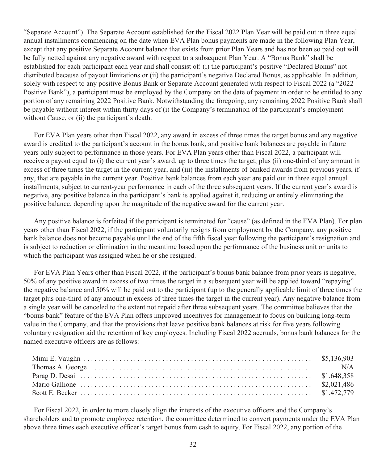"Separate Account"). The Separate Account established for the Fiscal 2022 Plan Year will be paid out in three equal annual installments commencing on the date when EVA Plan bonus payments are made in the following Plan Year, except that any positive Separate Account balance that exists from prior Plan Years and has not been so paid out will be fully netted against any negative award with respect to a subsequent Plan Year. A "Bonus Bank" shall be established for each participant each year and shall consist of: (i) the participant's positive "Declared Bonus" not distributed because of payout limitations or (ii) the participant's negative Declared Bonus, as applicable. In addition, solely with respect to any positive Bonus Bank or Separate Account generated with respect to Fiscal 2022 (a "2022 Positive Bank"), a participant must be employed by the Company on the date of payment in order to be entitled to any portion of any remaining 2022 Positive Bank. Notwithstanding the foregoing, any remaining 2022 Positive Bank shall be payable without interest within thirty days of (i) the Company's termination of the participant's employment without Cause, or (ii) the participant's death.

For EVA Plan years other than Fiscal 2022, any award in excess of three times the target bonus and any negative award is credited to the participant's account in the bonus bank, and positive bank balances are payable in future years only subject to performance in those years. For EVA Plan years other than Fiscal 2022, a participant will receive a payout equal to (i) the current year's award, up to three times the target, plus (ii) one-third of any amount in excess of three times the target in the current year, and (iii) the installments of banked awards from previous years, if any, that are payable in the current year. Positive bank balances from each year are paid out in three equal annual installments, subject to current-year performance in each of the three subsequent years. If the current year's award is negative, any positive balance in the participant's bank is applied against it, reducing or entirely eliminating the positive balance, depending upon the magnitude of the negative award for the current year.

Any positive balance is forfeited if the participant is terminated for "cause" (as defined in the EVA Plan). For plan years other than Fiscal 2022, if the participant voluntarily resigns from employment by the Company, any positive bank balance does not become payable until the end of the fifth fiscal year following the participant's resignation and is subject to reduction or elimination in the meantime based upon the performance of the business unit or units to which the participant was assigned when he or she resigned.

For EVA Plan Years other than Fiscal 2022, if the participant's bonus bank balance from prior years is negative, 50% of any positive award in excess of two times the target in a subsequent year will be applied toward "repaying" the negative balance and 50% will be paid out to the participant (up to the generally applicable limit of three times the target plus one-third of any amount in excess of three times the target in the current year). Any negative balance from a single year will be canceled to the extent not repaid after three subsequent years. The committee believes that the "bonus bank" feature of the EVA Plan offers improved incentives for management to focus on building long-term value in the Company, and that the provisions that leave positive bank balances at risk for five years following voluntary resignation aid the retention of key employees. Including Fiscal 2022 accruals, bonus bank balances for the named executive officers are as follows:

For Fiscal 2022, in order to more closely align the interests of the executive officers and the Company's shareholders and to promote employee retention, the committee determined to convert payments under the EVA Plan above three times each executive officer's target bonus from cash to equity. For Fiscal 2022, any portion of the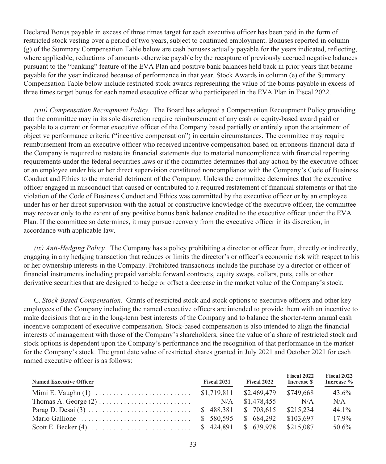Declared Bonus payable in excess of three times target for each executive officer has been paid in the form of restricted stock vesting over a period of two years, subject to continued employment. Bonuses reported in column (g) of the Summary Compensation Table below are cash bonuses actually payable for the years indicated, reflecting, where applicable, reductions of amounts otherwise payable by the recapture of previously accrued negative balances pursuant to the "banking" feature of the EVA Plan and positive bank balances held back in prior years that became payable for the year indicated because of performance in that year. Stock Awards in column (e) of the Summary Compensation Table below include restricted stock awards representing the value of the bonus payable in excess of three times target bonus for each named executive officer who participated in the EVA Plan in Fiscal 2022.

*(viii) Compensation Recoupment Policy.* The Board has adopted a Compensation Recoupment Policy providing that the committee may in its sole discretion require reimbursement of any cash or equity-based award paid or payable to a current or former executive officer of the Company based partially or entirely upon the attainment of objective performance criteria ("incentive compensation") in certain circumstances. The committee may require reimbursement from an executive officer who received incentive compensation based on erroneous financial data if the Company is required to restate its financial statements due to material noncompliance with financial reporting requirements under the federal securities laws or if the committee determines that any action by the executive officer or an employee under his or her direct supervision constituted noncompliance with the Company's Code of Business Conduct and Ethics to the material detriment of the Company. Unless the committee determines that the executive officer engaged in misconduct that caused or contributed to a required restatement of financial statements or that the violation of the Code of Business Conduct and Ethics was committed by the executive officer or by an employee under his or her direct supervision with the actual or constructive knowledge of the executive officer, the committee may recover only to the extent of any positive bonus bank balance credited to the executive officer under the EVA Plan. If the committee so determines, it may pursue recovery from the executive officer in its discretion, in accordance with applicable law.

*(ix) Anti-Hedging Policy.* The Company has a policy prohibiting a director or officer from, directly or indirectly, engaging in any hedging transaction that reduces or limits the director's or officer's economic risk with respect to his or her ownership interests in the Company. Prohibited transactions include the purchase by a director or officer of financial instruments including prepaid variable forward contracts, equity swaps, collars, puts, calls or other derivative securities that are designed to hedge or offset a decrease in the market value of the Company's stock.

C. *Stock-Based Compensation.* Grants of restricted stock and stock options to executive officers and other key employees of the Company including the named executive officers are intended to provide them with an incentive to make decisions that are in the long-term best interests of the Company and to balance the shorter-term annual cash incentive component of executive compensation. Stock-based compensation is also intended to align the financial interests of management with those of the Company's shareholders, since the value of a share of restricted stock and stock options is dependent upon the Company's performance and the recognition of that performance in the market for the Company's stock. The grant date value of restricted shares granted in July 2021 and October 2021 for each named executive officer is as follows:

| <b>Named Executive Officer</b> | <b>Fiscal 2021</b> | Fiscal 2022 | Fiscal 2022<br>Increase \$ | Fiscal 2022<br>Increase % |
|--------------------------------|--------------------|-------------|----------------------------|---------------------------|
|                                |                    |             |                            | 43.6%                     |
|                                |                    | \$1,478,455 | N/A                        | N/A                       |
|                                |                    |             | \$215.234                  | 44.1%                     |
|                                | \$ 580,595         | \$684,292   | \$103.697                  | $17.9\%$                  |
|                                |                    |             |                            | 50.6%                     |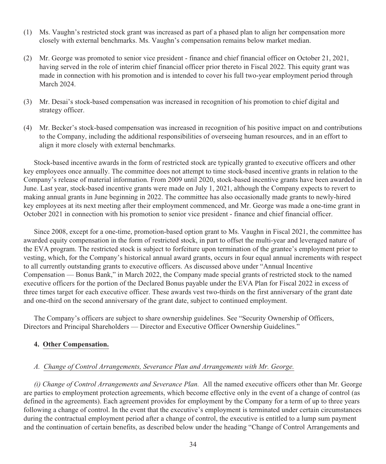- (1) Ms. Vaughn's restricted stock grant was increased as part of a phased plan to align her compensation more closely with external benchmarks. Ms. Vaughn's compensation remains below market median.
- (2) Mr. George was promoted to senior vice president finance and chief financial officer on October 21, 2021, having served in the role of interim chief financial officer prior thereto in Fiscal 2022. This equity grant was made in connection with his promotion and is intended to cover his full two-year employment period through March 2024.
- (3) Mr. Desai's stock-based compensation was increased in recognition of his promotion to chief digital and strategy officer.
- (4) Mr. Becker's stock-based compensation was increased in recognition of his positive impact on and contributions to the Company, including the additional responsibilities of overseeing human resources, and in an effort to align it more closely with external benchmarks.

Stock-based incentive awards in the form of restricted stock are typically granted to executive officers and other key employees once annually. The committee does not attempt to time stock-based incentive grants in relation to the Company's release of material information. From 2009 until 2020, stock-based incentive grants have been awarded in June. Last year, stock-based incentive grants were made on July 1, 2021, although the Company expects to revert to making annual grants in June beginning in 2022. The committee has also occasionally made grants to newly-hired key employees at its next meeting after their employment commenced, and Mr. George was made a one-time grant in October 2021 in connection with his promotion to senior vice president - finance and chief financial officer.

Since 2008, except for a one-time, promotion-based option grant to Ms. Vaughn in Fiscal 2021, the committee has awarded equity compensation in the form of restricted stock, in part to offset the multi-year and leveraged nature of the EVA program. The restricted stock is subject to forfeiture upon termination of the grantee's employment prior to vesting, which, for the Company's historical annual award grants, occurs in four equal annual increments with respect to all currently outstanding grants to executive officers. As discussed above under "Annual Incentive Compensation — Bonus Bank," in March 2022, the Company made special grants of restricted stock to the named executive officers for the portion of the Declared Bonus payable under the EVA Plan for Fiscal 2022 in excess of three times target for each executive officer. These awards vest two-thirds on the first anniversary of the grant date and one-third on the second anniversary of the grant date, subject to continued employment.

The Company's officers are subject to share ownership guidelines. See "Security Ownership of Officers, Directors and Principal Shareholders — Director and Executive Officer Ownership Guidelines."

#### **4. Other Compensation.**

## *A. Change of Control Arrangements, Severance Plan and Arrangements with Mr. George.*

*(i) Change of Control Arrangements and Severance Plan.* All the named executive officers other than Mr. George are parties to employment protection agreements, which become effective only in the event of a change of control (as defined in the agreements). Each agreement provides for employment by the Company for a term of up to three years following a change of control. In the event that the executive's employment is terminated under certain circumstances during the contractual employment period after a change of control, the executive is entitled to a lump sum payment and the continuation of certain benefits, as described below under the heading "Change of Control Arrangements and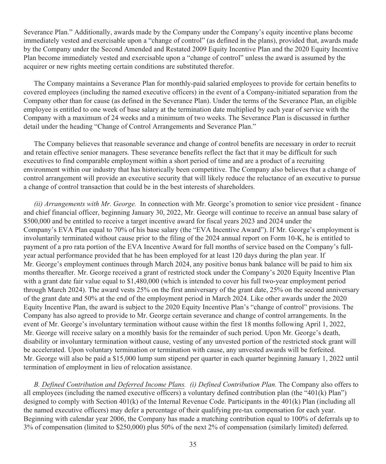Severance Plan." Additionally, awards made by the Company under the Company's equity incentive plans become immediately vested and exercisable upon a "change of control" (as defined in the plans), provided that, awards made by the Company under the Second Amended and Restated 2009 Equity Incentive Plan and the 2020 Equity Incentive Plan become immediately vested and exercisable upon a "change of control" unless the award is assumed by the acquirer or new rights meeting certain conditions are substituted therefor.

The Company maintains a Severance Plan for monthly-paid salaried employees to provide for certain benefits to covered employees (including the named executive officers) in the event of a Company-initiated separation from the Company other than for cause (as defined in the Severance Plan). Under the terms of the Severance Plan, an eligible employee is entitled to one week of base salary at the termination date multiplied by each year of service with the Company with a maximum of 24 weeks and a minimum of two weeks. The Severance Plan is discussed in further detail under the heading "Change of Control Arrangements and Severance Plan."

The Company believes that reasonable severance and change of control benefits are necessary in order to recruit and retain effective senior managers. These severance benefits reflect the fact that it may be difficult for such executives to find comparable employment within a short period of time and are a product of a recruiting environment within our industry that has historically been competitive. The Company also believes that a change of control arrangement will provide an executive security that will likely reduce the reluctance of an executive to pursue a change of control transaction that could be in the best interests of shareholders.

*(ii) Arrangements with Mr. George.* In connection with Mr. George's promotion to senior vice president - finance and chief financial officer, beginning January 30, 2022, Mr. George will continue to receive an annual base salary of \$500,000 and be entitled to receive a target incentive award for fiscal years 2023 and 2024 under the Company's EVA Plan equal to 70% of his base salary (the "EVA Incentive Award"). If Mr. George's employment is involuntarily terminated without cause prior to the filing of the 2024 annual report on Form 10-K, he is entitled to payment of a pro rata portion of the EVA Incentive Award for full months of service based on the Company's fullyear actual performance provided that he has been employed for at least 120 days during the plan year. If Mr. George's employment continues through March 2024, any positive bonus bank balance will be paid to him six months thereafter. Mr. George received a grant of restricted stock under the Company's 2020 Equity Incentive Plan with a grant date fair value equal to \$1,480,000 (which is intended to cover his full two-year employment period through March 2024). The award vests 25% on the first anniversary of the grant date, 25% on the second anniversary of the grant date and 50% at the end of the employment period in March 2024. Like other awards under the 2020 Equity Incentive Plan, the award is subject to the 2020 Equity Incentive Plan's "change of control" provisions. The Company has also agreed to provide to Mr. George certain severance and change of control arrangements. In the event of Mr. George's involuntary termination without cause within the first 18 months following April 1, 2022, Mr. George will receive salary on a monthly basis for the remainder of such period. Upon Mr. George's death, disability or involuntary termination without cause, vesting of any unvested portion of the restricted stock grant will be accelerated. Upon voluntary termination or termination with cause, any unvested awards will be forfeited. Mr. George will also be paid a \$15,000 lump sum stipend per quarter in each quarter beginning January 1, 2022 until termination of employment in lieu of relocation assistance.

*B. Defined Contribution and Deferred Income Plans. (i) Defined Contribution Plan.* The Company also offers to all employees (including the named executive officers) a voluntary defined contribution plan (the "401(k) Plan") designed to comply with Section 401(k) of the Internal Revenue Code. Participants in the 401(k) Plan (including all the named executive officers) may defer a percentage of their qualifying pre-tax compensation for each year. Beginning with calendar year 2006, the Company has made a matching contribution equal to 100% of deferrals up to 3% of compensation (limited to \$250,000) plus 50% of the next 2% of compensation (similarly limited) deferred.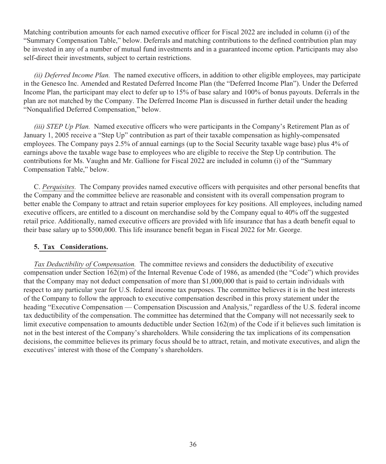Matching contribution amounts for each named executive officer for Fiscal 2022 are included in column (i) of the "Summary Compensation Table," below. Deferrals and matching contributions to the defined contribution plan may be invested in any of a number of mutual fund investments and in a guaranteed income option. Participants may also self-direct their investments, subject to certain restrictions.

*(ii) Deferred Income Plan.* The named executive officers, in addition to other eligible employees, may participate in the Genesco Inc. Amended and Restated Deferred Income Plan (the "Deferred Income Plan"). Under the Deferred Income Plan, the participant may elect to defer up to 15% of base salary and 100% of bonus payouts. Deferrals in the plan are not matched by the Company. The Deferred Income Plan is discussed in further detail under the heading "Nonqualified Deferred Compensation," below.

*(iii) STEP Up Plan.* Named executive officers who were participants in the Company's Retirement Plan as of January 1, 2005 receive a "Step Up" contribution as part of their taxable compensation as highly-compensated employees. The Company pays 2.5% of annual earnings (up to the Social Security taxable wage base) plus 4% of earnings above the taxable wage base to employees who are eligible to receive the Step Up contribution. The contributions for Ms. Vaughn and Mr. Gallione for Fiscal 2022 are included in column (i) of the "Summary Compensation Table," below.

C. *Perquisites.* The Company provides named executive officers with perquisites and other personal benefits that the Company and the committee believe are reasonable and consistent with its overall compensation program to better enable the Company to attract and retain superior employees for key positions. All employees, including named executive officers, are entitled to a discount on merchandise sold by the Company equal to 40% off the suggested retail price. Additionally, named executive officers are provided with life insurance that has a death benefit equal to their base salary up to \$500,000. This life insurance benefit began in Fiscal 2022 for Mr. George.

#### **5. Tax Considerations.**

*Tax Deductibility of Compensation.* The committee reviews and considers the deductibility of executive compensation under Section 162(m) of the Internal Revenue Code of 1986, as amended (the "Code") which provides that the Company may not deduct compensation of more than \$1,000,000 that is paid to certain individuals with respect to any particular year for U.S. federal income tax purposes. The committee believes it is in the best interests of the Company to follow the approach to executive compensation described in this proxy statement under the heading "Executive Compensation — Compensation Discussion and Analysis," regardless of the U.S. federal income tax deductibility of the compensation. The committee has determined that the Company will not necessarily seek to limit executive compensation to amounts deductible under Section 162(m) of the Code if it believes such limitation is not in the best interest of the Company's shareholders. While considering the tax implications of its compensation decisions, the committee believes its primary focus should be to attract, retain, and motivate executives, and align the executives' interest with those of the Company's shareholders.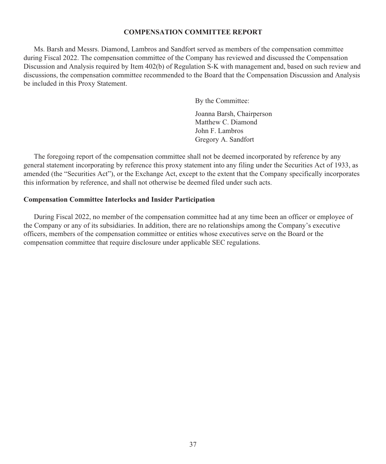#### **COMPENSATION COMMITTEE REPORT**

Ms. Barsh and Messrs. Diamond, Lambros and Sandfort served as members of the compensation committee during Fiscal 2022. The compensation committee of the Company has reviewed and discussed the Compensation Discussion and Analysis required by Item 402(b) of Regulation S-K with management and, based on such review and discussions, the compensation committee recommended to the Board that the Compensation Discussion and Analysis be included in this Proxy Statement.

By the Committee:

Joanna Barsh, Chairperson Matthew C. Diamond John F. Lambros Gregory A. Sandfort

The foregoing report of the compensation committee shall not be deemed incorporated by reference by any general statement incorporating by reference this proxy statement into any filing under the Securities Act of 1933, as amended (the "Securities Act"), or the Exchange Act, except to the extent that the Company specifically incorporates this information by reference, and shall not otherwise be deemed filed under such acts.

#### **Compensation Committee Interlocks and Insider Participation**

During Fiscal 2022, no member of the compensation committee had at any time been an officer or employee of the Company or any of its subsidiaries. In addition, there are no relationships among the Company's executive officers, members of the compensation committee or entities whose executives serve on the Board or the compensation committee that require disclosure under applicable SEC regulations.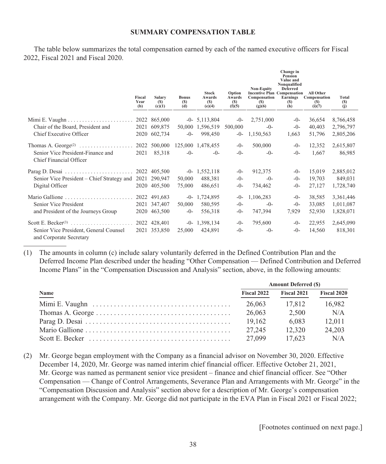#### **SUMMARY COMPENSATION TABLE**

The table below summarizes the total compensation earned by each of the named executive officers for Fiscal 2022, Fiscal 2021 and Fiscal 2020.

|                                                                   | Fiscal<br>Year<br>(b) | Salary<br>(S)<br>(c)(1) | <b>Bonus</b><br>(S)<br>(d) | <b>Stock</b><br>Awards<br><b>(S)</b><br>(e)(4) | Option<br>Awards<br>(S)<br>(f)(5) | <b>Non-Equity</b><br><b>Incentive Plan Compensation</b><br>Compensation<br>(S)<br>(g)(6) | Change in<br>Pension<br>Value and<br>Nonqualified<br><b>Deferred</b><br>Earnings<br>(S)<br>(h) | All Other<br>Compensation<br>(S)<br>(i)(7) | <b>Total</b><br>(S)<br>(i) |
|-------------------------------------------------------------------|-----------------------|-------------------------|----------------------------|------------------------------------------------|-----------------------------------|------------------------------------------------------------------------------------------|------------------------------------------------------------------------------------------------|--------------------------------------------|----------------------------|
|                                                                   |                       | 2022 865,000            |                            | $-0$ - 5,113,804                               | $-0-$                             | 2,751,000                                                                                | $-0-$                                                                                          | 36,654                                     | 8,766,458                  |
| Chair of the Board, President and                                 |                       | 2021 609,875            |                            | 50,000 1,596,519                               | 500,000                           | $-()$ -                                                                                  | $-0-$                                                                                          | 40,403                                     | 2,796,797                  |
|                                                                   |                       |                         |                            |                                                |                                   |                                                                                          |                                                                                                |                                            |                            |
| Chief Executive Officer                                           |                       | 2020 602,734            | $-0-$                      | 998,450                                        | $-0-$                             | 1,150,563                                                                                | 1,663                                                                                          | 51,796                                     | 2,805,206                  |
|                                                                   |                       |                         |                            | 125,000 1,478,455                              | $-()$                             | 500,000                                                                                  | $-()$ -                                                                                        | 12,352                                     | 2,615,807                  |
| Senior Vice President-Finance and<br>Chief Financial Officer      | 2021                  | 85,318                  | $-()$ -                    | $-()$ -                                        | $-0-$                             | $-()$ -                                                                                  | $-()$ -                                                                                        | 1,667                                      | 86,985                     |
| Parag D. Desai                                                    |                       | 2022 405,500            |                            | $-0$ - 1,552,118                               | $-()$                             | 912,375                                                                                  | $-()$ -                                                                                        | 15,019                                     | 2,885,012                  |
| Senior Vice President – Chief Strategy and                        |                       | 2021 290,947            | 50,000                     | 488,381                                        | $-0-$                             | $-()$ -                                                                                  | $-0-$                                                                                          | 19,703                                     | 849,031                    |
| Digital Officer                                                   |                       | 2020 405,500            | 75,000                     | 486,651                                        | $-0-$                             | 734,462                                                                                  | $-0-$                                                                                          | 27,127                                     | 1,728,740                  |
| Mario Gallione $\ldots, \ldots, \ldots, \ldots, \ldots, \ldots$   |                       | 2022 491,683            |                            | $-0$ - 1,724,895                               | $-0-$                             | 1,106,283                                                                                | $-0-$                                                                                          | 38,585                                     | 3,361,446                  |
| Senior Vice President                                             |                       | 2021 347,407            | 50,000                     | 580,595                                        | $-0-$                             | $-()$ -                                                                                  | $-()$ -                                                                                        | 33,085                                     | 1,011,087                  |
| and President of the Journeys Group                               |                       | 2020 463,500            | $-0-$                      | 556,318                                        | $-0-$                             | 747,394                                                                                  | 7,929                                                                                          | 52,930                                     | 1,828,071                  |
| Scott E. Becker <sup>(3)</sup>                                    |                       | 2022 428,401            |                            | $-0 - 1,398,134$                               | $-()$ -                           | 795,600                                                                                  | $-()$ -                                                                                        | 22,955                                     | 2,645,090                  |
| Senior Vice President, General Counsel<br>and Corporate Secretary |                       | 2021 353,850            | 25,000                     | 424,891                                        | $-()$                             | $-0-$                                                                                    | $-0-$                                                                                          | 14,560                                     | 818,301                    |

(1) The amounts in column (c) include salary voluntarily deferred in the Defined Contribution Plan and the Deferred Income Plan described under the heading "Other Compensation — Defined Contribution and Deferred Income Plans" in the "Compensation Discussion and Analysis" section, above, in the following amounts:

|                                                                                       | <b>Amount Deferred (\$)</b> |             |             |  |  |
|---------------------------------------------------------------------------------------|-----------------------------|-------------|-------------|--|--|
| Name                                                                                  | Fiscal 2022                 | Fiscal 2021 | Fiscal 2020 |  |  |
|                                                                                       | 26,063                      | 17.812      | 16.982      |  |  |
| $Thomas A. George  \dots \dots \dots \dots \dots \dots \dots \dots \dots \dots \dots$ | 26,063                      | 2.500       | N/A         |  |  |
|                                                                                       | 19.162                      | 6.083       | 12.011      |  |  |
|                                                                                       | 27.245                      | 12.320      | 24.203      |  |  |
|                                                                                       | 27,099                      | 17.623      | N/A         |  |  |

(2) Mr. George began employment with the Company as a financial advisor on November 30, 2020. Effective December 14, 2020, Mr. George was named interim chief financial officer. Effective October 21, 2021, Mr. George was named as permanent senior vice president – finance and chief financial officer. See "Other Compensation — Change of Control Arrangements, Severance Plan and Arrangements with Mr. George" in the "Compensation Discussion and Analysis" section above for a description of Mr. George's compensation arrangement with the Company. Mr. George did not participate in the EVA Plan in Fiscal 2021 or Fiscal 2022;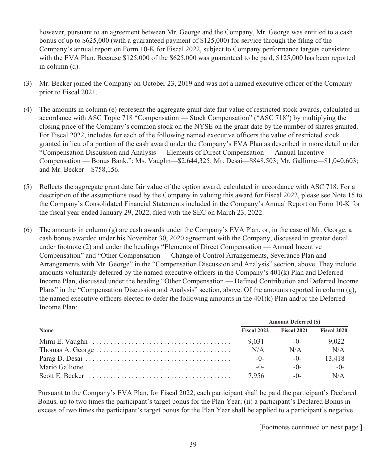however, pursuant to an agreement between Mr. George and the Company, Mr. George was entitled to a cash bonus of up to \$625,000 (with a guaranteed payment of \$125,000) for service through the filing of the Company's annual report on Form 10-K for Fiscal 2022, subject to Company performance targets consistent with the EVA Plan. Because \$125,000 of the \$625,000 was guaranteed to be paid, \$125,000 has been reported in column (d).

- (3) Mr. Becker joined the Company on October 23, 2019 and was not a named executive officer of the Company prior to Fiscal 2021.
- (4) The amounts in column (e) represent the aggregate grant date fair value of restricted stock awards, calculated in accordance with ASC Topic 718 "Compensation — Stock Compensation" ("ASC 718") by multiplying the closing price of the Company's common stock on the NYSE on the grant date by the number of shares granted. For Fiscal 2022, includes for each of the following named executive officers the value of restricted stock granted in lieu of a portion of the cash award under the Company's EVA Plan as described in more detail under "Compensation Discussion and Analysis—Elements of Direct Compensation — Annual Incentive Compensation — Bonus Bank.": Ms. Vaughn—\$2,644,325; Mr. Desai—\$848,503; Mr. Gallione—\$1,040,603; and Mr. Becker—\$758,156.
- (5) Reflects the aggregate grant date fair value of the option award, calculated in accordance with ASC 718. For a description of the assumptions used by the Company in valuing this award for Fiscal 2022, please see Note 15 to the Company's Consolidated Financial Statements included in the Company's Annual Report on Form 10-K for the fiscal year ended January 29, 2022, filed with the SEC on March 23, 2022.
- (6) The amounts in column (g) are cash awards under the Company's EVA Plan, or, in the case of Mr. George, a cash bonus awarded under his November 30, 2020 agreement with the Company, discussed in greater detail under footnote (2) and under the headings "Elements of Direct Compensation — Annual Incentive Compensation" and "Other Compensation — Change of Control Arrangements, Severance Plan and Arrangements with Mr. George" in the "Compensation Discussion and Analysis" section, above. They include amounts voluntarily deferred by the named executive officers in the Company's 401(k) Plan and Deferred Income Plan, discussed under the heading "Other Compensation — Defined Contribution and Deferred Income Plans" in the "Compensation Discussion and Analysis" section, above. Of the amounts reported in column (g), the named executive officers elected to defer the following amounts in the 401(k) Plan and/or the Deferred Income Plan:

|             | <b>Amount Deferred (\$)</b> |             |                    |  |  |
|-------------|-----------------------------|-------------|--------------------|--|--|
| <b>Name</b> | Fiscal 2022                 | Fiscal 2021 | <b>Fiscal 2020</b> |  |  |
|             | 9.031                       | $-()$       | 9.022              |  |  |
|             | N/A                         | N/A         | N/A                |  |  |
|             | $-0-$                       | $-()$       | 13.418             |  |  |
|             | $-0-$                       | $-0-$       | $-0-$              |  |  |
|             | 7.956                       | $-0-$       | N/A                |  |  |

Pursuant to the Company's EVA Plan, for Fiscal 2022, each participant shall be paid the participant's Declared Bonus, up to two times the participant's target bonus for the Plan Year; (ii) a participant's Declared Bonus in excess of two times the participant's target bonus for the Plan Year shall be applied to a participant's negative

[Footnotes continued on next page.]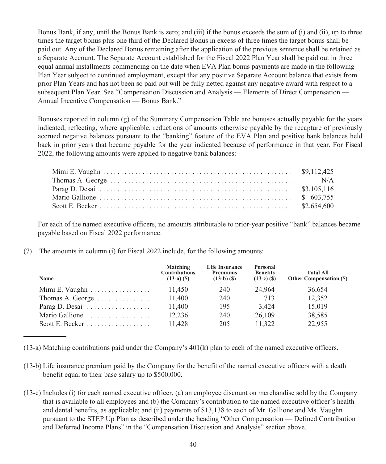Bonus Bank, if any, until the Bonus Bank is zero; and (iii) if the bonus exceeds the sum of (i) and (ii), up to three times the target bonus plus one third of the Declared Bonus in excess of three times the target bonus shall be paid out. Any of the Declared Bonus remaining after the application of the previous sentence shall be retained as a Separate Account. The Separate Account established for the Fiscal 2022 Plan Year shall be paid out in three equal annual installments commencing on the date when EVA Plan bonus payments are made in the following Plan Year subject to continued employment, except that any positive Separate Account balance that exists from prior Plan Years and has not been so paid out will be fully netted against any negative award with respect to a subsequent Plan Year. See "Compensation Discussion and Analysis — Elements of Direct Compensation — Annual Incentive Compensation — Bonus Bank."

Bonuses reported in column (g) of the Summary Compensation Table are bonuses actually payable for the years indicated, reflecting, where applicable, reductions of amounts otherwise payable by the recapture of previously accrued negative balances pursuant to the "banking" feature of the EVA Plan and positive bank balances held back in prior years that became payable for the year indicated because of performance in that year. For Fiscal 2022, the following amounts were applied to negative bank balances:

For each of the named executive officers, no amounts attributable to prior-year positive "bank" balances became payable based on Fiscal 2022 performance.

(7) The amounts in column (i) for Fiscal 2022 include, for the following amounts:

| <b>Name</b>                                | Matching<br><b>Contributions</b><br>$(13-a)$ $(S)$ | <b>Life Insurance</b><br><b>Premiums</b><br>$(13-b)$ $(S)$ | Personal<br><b>Benefits</b><br>$(13-c)$ (\$) | <b>Total All</b><br><b>Other Compensation (S)</b> |
|--------------------------------------------|----------------------------------------------------|------------------------------------------------------------|----------------------------------------------|---------------------------------------------------|
| Mimi E. Vaughn                             | 11,450                                             | 240                                                        | 24.964                                       | 36,654                                            |
| Thomas A. George $\dots \dots \dots \dots$ | 11,400                                             | 240                                                        | 713                                          | 12,352                                            |
| Parag D. Desai $\ldots$                    | 11,400                                             | 195                                                        | 3.424                                        | 15,019                                            |
| Mario Gallione                             | 12.236                                             | 240                                                        | 26,109                                       | 38.585                                            |
|                                            | 11.428                                             | 205                                                        | 11.322                                       | 22,955                                            |

(13-a) Matching contributions paid under the Company's 401(k) plan to each of the named executive officers.

- (13-b) Life insurance premium paid by the Company for the benefit of the named executive officers with a death benefit equal to their base salary up to \$500,000.
- (13-c) Includes (i) for each named executive officer, (a) an employee discount on merchandise sold by the Company that is available to all employees and (b) the Company's contribution to the named executive officer's health and dental benefits, as applicable; and (ii) payments of \$13,138 to each of Mr. Gallione and Ms. Vaughn pursuant to the STEP Up Plan as described under the heading "Other Compensation — Defined Contribution and Deferred Income Plans" in the "Compensation Discussion and Analysis" section above.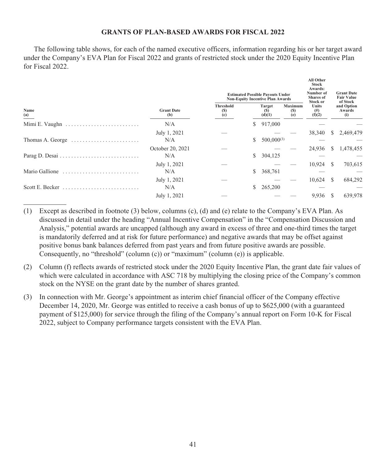## **GRANTS OF PLAN-BASED AWARDS FOR FISCAL 2022**

The following table shows, for each of the named executive officers, information regarding his or her target award under the Company's EVA Plan for Fiscal 2022 and grants of restricted stock under the 2020 Equity Incentive Plan for Fiscal 2022.

|                                                                           |                          | <b>Estimated Possible Payouts Under</b><br><b>Non-Equity Incentive Plan Awards</b> |    |                         |                       | All Other<br><b>Stock</b><br>Awards:<br>Number of<br><b>Shares</b> of<br>Stock or | <b>Grant Date</b><br><b>Fair Value</b><br>of Stock |                             |
|---------------------------------------------------------------------------|--------------------------|------------------------------------------------------------------------------------|----|-------------------------|-----------------------|-----------------------------------------------------------------------------------|----------------------------------------------------|-----------------------------|
| Name<br>(a)                                                               | <b>Grant Date</b><br>(b) | <b>Threshold</b><br>(S)<br>(c)                                                     |    | Target<br>(S)<br>(d)(1) | Maximum<br>(S)<br>(e) | Units<br>$^{(#)}$<br>(f)(2)                                                       |                                                    | and Option<br>Awards<br>(i) |
|                                                                           | N/A                      |                                                                                    | S. | 917,000                 |                       |                                                                                   |                                                    |                             |
|                                                                           | July 1, 2021             |                                                                                    |    |                         |                       | 38,340                                                                            | S.                                                 | 2,469,479                   |
| Thomas A. George $\dots \dots \dots \dots \dots \dots \dots$              | N/A                      |                                                                                    | S. | $500,000^{(3)}$         |                       |                                                                                   |                                                    |                             |
|                                                                           | October 20, 2021         |                                                                                    |    |                         |                       | 24,936                                                                            | S                                                  | 1,478,455                   |
|                                                                           | N/A                      |                                                                                    | S. | 304,125                 |                       |                                                                                   |                                                    |                             |
|                                                                           | July 1, 2021             |                                                                                    |    |                         |                       | 10.924                                                                            | \$.                                                | 703,615                     |
| Mario Gallione                                                            | N/A                      |                                                                                    | S. | 368,761                 |                       |                                                                                   |                                                    |                             |
|                                                                           | July 1, 2021             |                                                                                    |    |                         |                       | 10,624                                                                            | S                                                  | 684,292                     |
| Scott E. Becker $\dots\dots\dots\dots\dots\dots\dots\dots\dots\dots\dots$ | N/A                      |                                                                                    | S. | 265,200                 |                       |                                                                                   |                                                    |                             |
|                                                                           | July 1, 2021             |                                                                                    |    |                         |                       | 9,936                                                                             |                                                    | 639,978                     |
|                                                                           |                          |                                                                                    |    |                         |                       |                                                                                   |                                                    |                             |

- (1) Except as described in footnote (3) below, columns (c), (d) and (e) relate to the Company's EVA Plan. As discussed in detail under the heading "Annual Incentive Compensation" in the "Compensation Discussion and Analysis," potential awards are uncapped (although any award in excess of three and one-third times the target is mandatorily deferred and at risk for future performance) and negative awards that may be offset against positive bonus bank balances deferred from past years and from future positive awards are possible. Consequently, no "threshold" (column  $(c)$ ) or "maximum" (column  $(e)$ ) is applicable.
- (2) Column (f) reflects awards of restricted stock under the 2020 Equity Incentive Plan, the grant date fair values of which were calculated in accordance with ASC 718 by multiplying the closing price of the Company's common stock on the NYSE on the grant date by the number of shares granted.
- (3) In connection with Mr. George's appointment as interim chief financial officer of the Company effective December 14, 2020, Mr. George was entitled to receive a cash bonus of up to \$625,000 (with a guaranteed payment of \$125,000) for service through the filing of the Company's annual report on Form 10-K for Fiscal 2022, subject to Company performance targets consistent with the EVA Plan.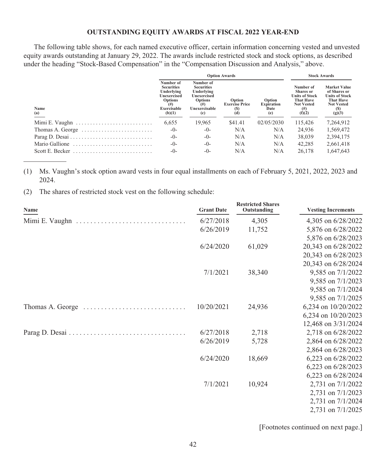## **OUTSTANDING EQUITY AWARDS AT FISCAL 2022 YEAR-END**

The following table shows, for each named executive officer, certain information concerning vested and unvested equity awards outstanding at January 29, 2022. The awards include restricted stock and stock options, as described under the heading "Stock-Based Compensation" in the "Compensation Discussion and Analysis," above.

|                                                                  | <b>Option Awards</b>                                                                                    |                                                                                                                   |                                               |                                            | <b>Stock Awards</b>                                                                                               |                                                                                                                        |  |
|------------------------------------------------------------------|---------------------------------------------------------------------------------------------------------|-------------------------------------------------------------------------------------------------------------------|-----------------------------------------------|--------------------------------------------|-------------------------------------------------------------------------------------------------------------------|------------------------------------------------------------------------------------------------------------------------|--|
| Name<br>$\frac{a}{a}$                                            | Number of<br><b>Securities</b><br>Underlying<br>Unexercised<br>Options<br>(# )<br>Exercisable<br>(b)(1) | Number of<br><b>Securities</b><br>Underlying<br><b>Unexercised</b><br>Options<br>$^{(#)}$<br>Unexercisable<br>(c) | Option<br><b>Exercise Price</b><br>(S)<br>(d) | Option<br><b>Expiration</b><br>Date<br>(e) | Number of<br><b>Shares</b> or<br><b>Units of Stock</b><br><b>That Have</b><br><b>Not Vested</b><br>(# )<br>(f)(2) | <b>Market Value</b><br>of Shares or<br><b>Units of Stock</b><br><b>That Have</b><br><b>Not Vested</b><br>(S)<br>(g)(3) |  |
|                                                                  | 6,655                                                                                                   | 19.965                                                                                                            | \$41.41                                       | 02/05/2030                                 | 115.426                                                                                                           | 7,264,912                                                                                                              |  |
| Thomas A. George $\dots\dots\dots\dots\dots\dots\dots\dots\dots$ | $-()$ -                                                                                                 | $-()$                                                                                                             | N/A                                           | N/A                                        | 24,936                                                                                                            | 1,569,472                                                                                                              |  |
|                                                                  | $-()$ -                                                                                                 | $-()$                                                                                                             | N/A                                           | N/A                                        | 38,039                                                                                                            | 2,394,175                                                                                                              |  |
| Mario Gallione                                                   | $-0-$                                                                                                   | $-()$                                                                                                             | N/A                                           | N/A                                        | 42,285                                                                                                            | 2,661,418                                                                                                              |  |
| Scott E. Becker                                                  | $-()$                                                                                                   | $-()$                                                                                                             | N/A                                           | N/A                                        | 26.178                                                                                                            | 1.647.643                                                                                                              |  |

(1) Ms. Vaughn's stock option award vests in four equal installments on each of February 5, 2021, 2022, 2023 and 2024.

(2) The shares of restricted stock vest on the following schedule:

| Name                                                                     | <b>Grant Date</b> | <b>Restricted Shares</b><br>Outstanding | <b>Vesting Increments</b> |
|--------------------------------------------------------------------------|-------------------|-----------------------------------------|---------------------------|
|                                                                          | 6/27/2018         | 4,305                                   | 4,305 on 6/28/2022        |
|                                                                          | 6/26/2019         | 11,752                                  | 5,876 on 6/28/2022        |
|                                                                          |                   |                                         | 5,876 on 6/28/2023        |
|                                                                          | 6/24/2020         | 61,029                                  | 20,343 on 6/28/2022       |
|                                                                          |                   |                                         | 20,343 on 6/28/2023       |
|                                                                          |                   |                                         | 20,343 on 6/28/2024       |
|                                                                          | 7/1/2021          | 38,340                                  | 9,585 on 7/1/2022         |
|                                                                          |                   |                                         | 9,585 on 7/1/2023         |
|                                                                          |                   |                                         | 9,585 on 7/1/2024         |
|                                                                          |                   |                                         | 9,585 on 7/1/2025         |
| Thomas A. George $\dots \dots \dots \dots \dots \dots \dots \dots \dots$ | 10/20/2021        | 24,936                                  | 6,234 on 10/20/2022       |
|                                                                          |                   |                                         | 6,234 on $10/20/2023$     |
|                                                                          |                   |                                         | 12,468 on 3/31/2024       |
| Parag D. Desai                                                           | 6/27/2018         | 2,718                                   | 2,718 on 6/28/2022        |
|                                                                          | 6/26/2019         | 5,728                                   | 2,864 on 6/28/2022        |
|                                                                          |                   |                                         | 2,864 on 6/28/2023        |
|                                                                          | 6/24/2020         | 18,669                                  | 6,223 on $6/28/2022$      |
|                                                                          |                   |                                         | 6,223 on $6/28/2023$      |
|                                                                          |                   |                                         | 6,223 on 6/28/2024        |
|                                                                          | 7/1/2021          | 10,924                                  | 2,731 on 7/1/2022         |
|                                                                          |                   |                                         | 2,731 on 7/1/2023         |
|                                                                          |                   |                                         | 2,731 on 7/1/2024         |
|                                                                          |                   |                                         | 2,731 on 7/1/2025         |

[Footnotes continued on next page.]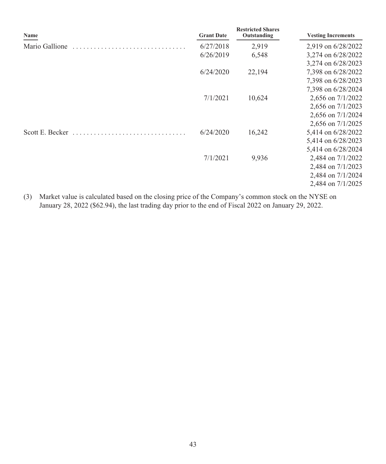| Name            | <b>Grant Date</b> | <b>Restricted Shares</b><br>Outstanding | <b>Vesting Increments</b> |
|-----------------|-------------------|-----------------------------------------|---------------------------|
| Mario Gallione  | 6/27/2018         | 2,919                                   | 2,919 on 6/28/2022        |
|                 | 6/26/2019         | 6,548                                   | 3,274 on 6/28/2022        |
|                 |                   |                                         | 3,274 on 6/28/2023        |
|                 | 6/24/2020         | 22,194                                  | 7,398 on 6/28/2022        |
|                 |                   |                                         | 7,398 on 6/28/2023        |
|                 |                   |                                         | 7,398 on 6/28/2024        |
|                 | 7/1/2021          | 10,624                                  | 2,656 on 7/1/2022         |
|                 |                   |                                         | 2,656 on $7/1/2023$       |
|                 |                   |                                         | 2,656 on 7/1/2024         |
|                 |                   |                                         | 2,656 on 7/1/2025         |
| Scott E. Becker | 6/24/2020         | 16,242                                  | 5,414 on 6/28/2022        |
|                 |                   |                                         | 5,414 on 6/28/2023        |
|                 |                   |                                         | 5,414 on 6/28/2024        |
|                 | 7/1/2021          | 9,936                                   | 2,484 on 7/1/2022         |
|                 |                   |                                         | 2,484 on 7/1/2023         |
|                 |                   |                                         | 2,484 on 7/1/2024         |
|                 |                   |                                         | 2,484 on 7/1/2025         |

(3) Market value is calculated based on the closing price of the Company's common stock on the NYSE on January 28, 2022 (\$62.94), the last trading day prior to the end of Fiscal 2022 on January 29, 2022.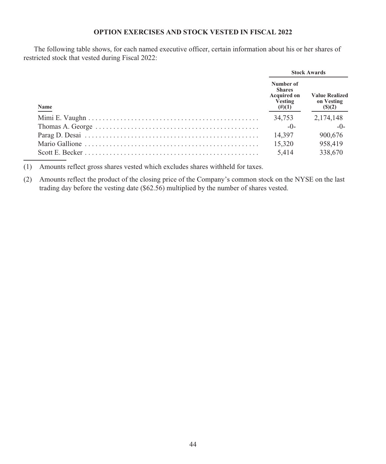## **OPTION EXERCISES AND STOCK VESTED IN FISCAL 2022**

The following table shows, for each named executive officer, certain information about his or her shares of restricted stock that vested during Fiscal 2022:

|      | <b>Stock Awards</b>                                                      |                                               |  |
|------|--------------------------------------------------------------------------|-----------------------------------------------|--|
| Name | Number of<br><b>Shares</b><br><b>Acquired on</b><br>Vesting<br>$(\#)(1)$ | <b>Value Realized</b><br>on Vesting<br>(S)(2) |  |
|      | 34,753                                                                   | 2,174,148                                     |  |
|      | $-0-$                                                                    | $-0-$                                         |  |
|      | 14.397                                                                   | 900,676                                       |  |
|      | 15.320                                                                   | 958,419                                       |  |
|      | 5.414                                                                    | 338,670                                       |  |

(1) Amounts reflect gross shares vested which excludes shares withheld for taxes.

(2) Amounts reflect the product of the closing price of the Company's common stock on the NYSE on the last trading day before the vesting date (\$62.56) multiplied by the number of shares vested.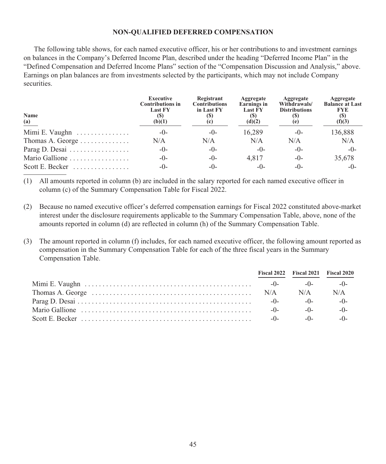#### **NON-QUALIFIED DEFERRED COMPENSATION**

The following table shows, for each named executive officer, his or her contributions to and investment earnings on balances in the Company's Deferred Income Plan, described under the heading "Deferred Income Plan" in the "Defined Compensation and Deferred Income Plans" section of the "Compensation Discussion and Analysis," above. Earnings on plan balances are from investments selected by the participants, which may not include Company securities.

| Name<br>$\frac{(a)}{a}$ | <b>Executive</b><br><b>Contributions in</b><br><b>Last FY</b><br>(b)(1) | Registrant<br><b>Contributions</b><br>in Last FY | Aggregate<br>Earnings in<br><b>Last FY</b><br>(d)(2) | Aggregate<br>Withdrawals/<br><b>Distributions</b><br>(e) | Aggregate<br><b>Balance at Last</b><br><b>FYE</b><br>(S)<br>(f)(3) |
|-------------------------|-------------------------------------------------------------------------|--------------------------------------------------|------------------------------------------------------|----------------------------------------------------------|--------------------------------------------------------------------|
| Mimi E. Vaughn          | $-()$                                                                   | $-()$                                            | 16.289                                               | $-()$                                                    | 136,888                                                            |
| Thomas A. George        | N/A                                                                     | N/A                                              | N/A                                                  | N/A                                                      | N/A                                                                |
| Parag D. Desai          | $-()$                                                                   | $-()$ -                                          | $-()$                                                | $-()$                                                    | $-()$                                                              |
| Mario Gallione          | $-()$                                                                   | $-()$ -                                          | 4.817                                                | $-()$ -                                                  | 35,678                                                             |
| Scott E. Becker         | $-()$ -                                                                 | $-()$ -                                          | $-()$ -                                              | $-()$ -                                                  | $-()$                                                              |

(1) All amounts reported in column (b) are included in the salary reported for each named executive officer in column (c) of the Summary Compensation Table for Fiscal 2022.

- (2) Because no named executive officer's deferred compensation earnings for Fiscal 2022 constituted above-market interest under the disclosure requirements applicable to the Summary Compensation Table, above, none of the amounts reported in column (d) are reflected in column (h) of the Summary Compensation Table.
- (3) The amount reported in column (f) includes, for each named executive officer, the following amount reported as compensation in the Summary Compensation Table for each of the three fiscal years in the Summary Compensation Table.

|       | Fiscal 2022 Fiscal 2021 Fiscal 2020 |         |
|-------|-------------------------------------|---------|
| $-()$ | $-()$ -                             | $-()$ - |
|       | N/A                                 | N/A     |
| $-0-$ | $-0-$                               | $-0-$   |
| $-0-$ | $-0-$                               | $-()$ - |
| $-0-$ | $-0-$                               | $-()$ - |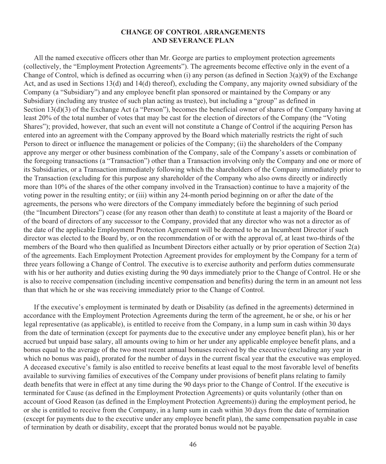#### **CHANGE OF CONTROL ARRANGEMENTS AND SEVERANCE PLAN**

All the named executive officers other than Mr. George are parties to employment protection agreements (collectively, the "Employment Protection Agreements"). The agreements become effective only in the event of a Change of Control, which is defined as occurring when (i) any person (as defined in Section 3(a)(9) of the Exchange Act, and as used in Sections 13(d) and 14(d) thereof), excluding the Company, any majority owned subsidiary of the Company (a "Subsidiary") and any employee benefit plan sponsored or maintained by the Company or any Subsidiary (including any trustee of such plan acting as trustee), but including a "group" as defined in Section 13(d)(3) of the Exchange Act (a "Person"), becomes the beneficial owner of shares of the Company having at least 20% of the total number of votes that may be cast for the election of directors of the Company (the "Voting Shares"); provided, however, that such an event will not constitute a Change of Control if the acquiring Person has entered into an agreement with the Company approved by the Board which materially restricts the right of such Person to direct or influence the management or policies of the Company; (ii) the shareholders of the Company approve any merger or other business combination of the Company, sale of the Company's assets or combination of the foregoing transactions (a "Transaction") other than a Transaction involving only the Company and one or more of its Subsidiaries, or a Transaction immediately following which the shareholders of the Company immediately prior to the Transaction (excluding for this purpose any shareholder of the Company who also owns directly or indirectly more than 10% of the shares of the other company involved in the Transaction) continue to have a majority of the voting power in the resulting entity; or (iii) within any 24-month period beginning on or after the date of the agreements, the persons who were directors of the Company immediately before the beginning of such period (the "Incumbent Directors") cease (for any reason other than death) to constitute at least a majority of the Board or of the board of directors of any successor to the Company, provided that any director who was not a director as of the date of the applicable Employment Protection Agreement will be deemed to be an Incumbent Director if such director was elected to the Board by, or on the recommendation of or with the approval of, at least two-thirds of the members of the Board who then qualified as Incumbent Directors either actually or by prior operation of Section 2(a) of the agreements. Each Employment Protection Agreement provides for employment by the Company for a term of three years following a Change of Control. The executive is to exercise authority and perform duties commensurate with his or her authority and duties existing during the 90 days immediately prior to the Change of Control. He or she is also to receive compensation (including incentive compensation and benefits) during the term in an amount not less than that which he or she was receiving immediately prior to the Change of Control.

If the executive's employment is terminated by death or Disability (as defined in the agreements) determined in accordance with the Employment Protection Agreements during the term of the agreement, he or she, or his or her legal representative (as applicable), is entitled to receive from the Company, in a lump sum in cash within 30 days from the date of termination (except for payments due to the executive under any employee benefit plan), his or her accrued but unpaid base salary, all amounts owing to him or her under any applicable employee benefit plans, and a bonus equal to the average of the two most recent annual bonuses received by the executive (excluding any year in which no bonus was paid), prorated for the number of days in the current fiscal year that the executive was employed. A deceased executive's family is also entitled to receive benefits at least equal to the most favorable level of benefits available to surviving families of executives of the Company under provisions of benefit plans relating to family death benefits that were in effect at any time during the 90 days prior to the Change of Control. If the executive is terminated for Cause (as defined in the Employment Protection Agreements) or quits voluntarily (other than on account of Good Reason (as defined in the Employment Protection Agreements)) during the employment period, he or she is entitled to receive from the Company, in a lump sum in cash within 30 days from the date of termination (except for payments due to the executive under any employee benefit plan), the same compensation payable in case of termination by death or disability, except that the prorated bonus would not be payable.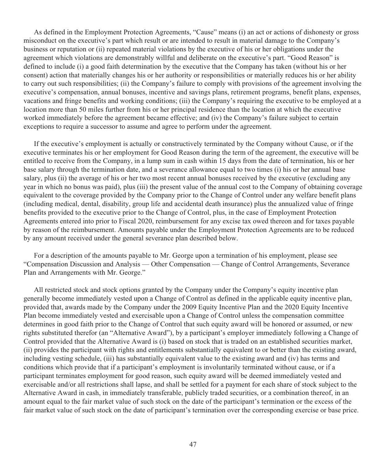As defined in the Employment Protection Agreements, "Cause" means (i) an act or actions of dishonesty or gross misconduct on the executive's part which result or are intended to result in material damage to the Company's business or reputation or (ii) repeated material violations by the executive of his or her obligations under the agreement which violations are demonstrably willful and deliberate on the executive's part. "Good Reason" is defined to include (i) a good faith determination by the executive that the Company has taken (without his or her consent) action that materially changes his or her authority or responsibilities or materially reduces his or her ability to carry out such responsibilities; (ii) the Company's failure to comply with provisions of the agreement involving the executive's compensation, annual bonuses, incentive and savings plans, retirement programs, benefit plans, expenses, vacations and fringe benefits and working conditions; (iii) the Company's requiring the executive to be employed at a location more than 50 miles further from his or her principal residence than the location at which the executive worked immediately before the agreement became effective; and (iv) the Company's failure subject to certain exceptions to require a successor to assume and agree to perform under the agreement.

If the executive's employment is actually or constructively terminated by the Company without Cause, or if the executive terminates his or her employment for Good Reason during the term of the agreement, the executive will be entitled to receive from the Company, in a lump sum in cash within 15 days from the date of termination, his or her base salary through the termination date, and a severance allowance equal to two times (i) his or her annual base salary, plus (ii) the average of his or her two most recent annual bonuses received by the executive (excluding any year in which no bonus was paid), plus (iii) the present value of the annual cost to the Company of obtaining coverage equivalent to the coverage provided by the Company prior to the Change of Control under any welfare benefit plans (including medical, dental, disability, group life and accidental death insurance) plus the annualized value of fringe benefits provided to the executive prior to the Change of Control, plus, in the case of Employment Protection Agreements entered into prior to Fiscal 2020, reimbursement for any excise tax owed thereon and for taxes payable by reason of the reimbursement. Amounts payable under the Employment Protection Agreements are to be reduced by any amount received under the general severance plan described below.

For a description of the amounts payable to Mr. George upon a termination of his employment, please see "Compensation Discussion and Analysis — Other Compensation — Change of Control Arrangements, Severance Plan and Arrangements with Mr. George."

All restricted stock and stock options granted by the Company under the Company's equity incentive plan generally become immediately vested upon a Change of Control as defined in the applicable equity incentive plan, provided that, awards made by the Company under the 2009 Equity Incentive Plan and the 2020 Equity Incentive Plan become immediately vested and exercisable upon a Change of Control unless the compensation committee determines in good faith prior to the Change of Control that such equity award will be honored or assumed, or new rights substituted therefor (an "Alternative Award"), by a participant's employer immediately following a Change of Control provided that the Alternative Award is (i) based on stock that is traded on an established securities market, (ii) provides the participant with rights and entitlements substantially equivalent to or better than the existing award, including vesting schedule, (iii) has substantially equivalent value to the existing award and (iv) has terms and conditions which provide that if a participant's employment is involuntarily terminated without cause, or if a participant terminates employment for good reason, such equity award will be deemed immediately vested and exercisable and/or all restrictions shall lapse, and shall be settled for a payment for each share of stock subject to the Alternative Award in cash, in immediately transferable, publicly traded securities, or a combination thereof, in an amount equal to the fair market value of such stock on the date of the participant's termination or the excess of the fair market value of such stock on the date of participant's termination over the corresponding exercise or base price.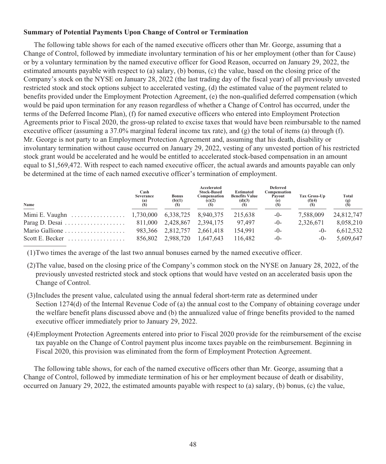## **Summary of Potential Payments Upon Change of Control or Termination**

The following table shows for each of the named executive officers other than Mr. George, assuming that a Change of Control, followed by immediate involuntary termination of his or her employment (other than for Cause) or by a voluntary termination by the named executive officer for Good Reason, occurred on January 29, 2022, the estimated amounts payable with respect to (a) salary, (b) bonus, (c) the value, based on the closing price of the Company's stock on the NYSE on January 28, 2022 (the last trading day of the fiscal year) of all previously unvested restricted stock and stock options subject to accelerated vesting, (d) the estimated value of the payment related to benefits provided under the Employment Protection Agreement, (e) the non-qualified deferred compensation (which would be paid upon termination for any reason regardless of whether a Change of Control has occurred, under the terms of the Deferred Income Plan), (f) for named executive officers who entered into Employment Protection Agreements prior to Fiscal 2020, the gross-up related to excise taxes that would have been reimbursable to the named executive officer (assuming a 37.0% marginal federal income tax rate), and (g) the total of items (a) through (f). Mr. George is not party to an Employment Protection Agreement and, assuming that his death, disability or involuntary termination without cause occurred on January 29, 2022, vesting of any unvested portion of his restricted stock grant would be accelerated and he would be entitled to accelerated stock-based compensation in an amount equal to \$1,569,472. With respect to each named executive officer, the actual awards and amounts payable can only be determined at the time of each named executive officer's termination of employment.

| Name                                                           | Cash<br><b>Severance</b><br>$\binom{a}{s}$ | <b>Bonus</b><br>(b)(1) | Accelerated<br><b>Stock-Based</b><br>Compensation<br>(c)(2) | <b>Estimated</b><br><b>Benefits Value</b><br>(d)(3) | <b>Deferred</b><br>Compensation<br>Payout | Tax Gross-Up<br>$\frac{f(4)}{f(5)}$ | Total<br>$\binom{g}{s}$ |
|----------------------------------------------------------------|--------------------------------------------|------------------------|-------------------------------------------------------------|-----------------------------------------------------|-------------------------------------------|-------------------------------------|-------------------------|
| Mimi E. Vaughn $\dots \dots \dots \dots \dots \dots 1,730,000$ |                                            | 6,338,725              | 8.940.375                                                   | 215.638                                             | $-0-$                                     | 7.588.009                           | 24,812,747              |
|                                                                |                                            | 2.428.867              | 2.394.175                                                   | 97.497                                              | $-0-$                                     | 2.326.671                           | 8,058,210               |
| Mario Gallione                                                 | 983.366                                    | 2.812.757              | 2.661.418                                                   | 154.991                                             | $-0-$                                     | $-0-$                               | 6,612,532               |
| Scott E. Becker $\ldots \ldots \ldots \ldots \ldots$           | 856.802                                    | 2.988.720              | 1.647.643                                                   | 116.482                                             | $-0-$                                     | $-()$                               | 5.609.647               |

(1)Two times the average of the last two annual bonuses earned by the named executive officer.

- (2)The value, based on the closing price of the Company's common stock on the NYSE on January 28, 2022, of the previously unvested restricted stock and stock options that would have vested on an accelerated basis upon the Change of Control.
- (3)Includes the present value, calculated using the annual federal short-term rate as determined under Section 1274(d) of the Internal Revenue Code of (a) the annual cost to the Company of obtaining coverage under the welfare benefit plans discussed above and (b) the annualized value of fringe benefits provided to the named executive officer immediately prior to January 29, 2022.
- (4)Employment Protection Agreements entered into prior to Fiscal 2020 provide for the reimbursement of the excise tax payable on the Change of Control payment plus income taxes payable on the reimbursement. Beginning in Fiscal 2020, this provision was eliminated from the form of Employment Protection Agreement.

The following table shows, for each of the named executive officers other than Mr. George, assuming that a Change of Control, followed by immediate termination of his or her employment because of death or disability, occurred on January 29, 2022, the estimated amounts payable with respect to (a) salary, (b) bonus, (c) the value,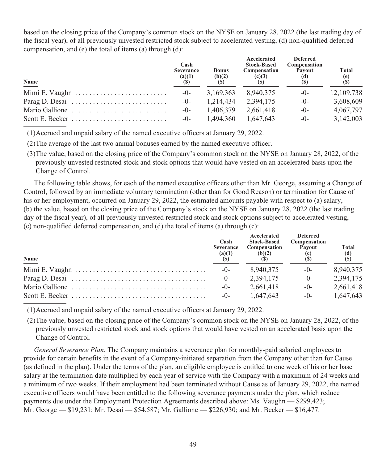based on the closing price of the Company's common stock on the NYSE on January 28, 2022 (the last trading day of the fiscal year), of all previously unvested restricted stock subject to accelerated vesting, (d) non-qualified deferred compensation, and (e) the total of items (a) through (d):

| Name                                                                     | Cash<br><b>Severance</b><br>(a)(1)<br>(S) | <b>Bonus</b><br>(b)(2) | Accelerated<br><b>Stock-Based</b><br>Compensation<br>(c)(3) | <b>Deferred</b><br>Compensation<br>Payout<br>(d) | <b>Total</b><br>(e)<br>(S) |
|--------------------------------------------------------------------------|-------------------------------------------|------------------------|-------------------------------------------------------------|--------------------------------------------------|----------------------------|
|                                                                          | $-()$                                     | 3,169,363              | 8,940,375                                                   | $-()$                                            | 12,109,738                 |
| Parag D. Desai $\ldots \ldots \ldots \ldots \ldots \ldots \ldots \ldots$ | $-()$                                     | 1,214,434              | 2.394.175                                                   | $-()$                                            | 3,608,609                  |
| Mario Gallione                                                           | $-()$                                     | 1.406.379              | 2.661.418                                                   | $-()$                                            | 4,067,797                  |
|                                                                          | $-()$                                     | 1.494.360              | 1,647,643                                                   | $-()$                                            | 3,142,003                  |

(1)Accrued and unpaid salary of the named executive officers at January 29, 2022.

(2)The average of the last two annual bonuses earned by the named executive officer.

(3)The value, based on the closing price of the Company's common stock on the NYSE on January 28, 2022, of the previously unvested restricted stock and stock options that would have vested on an accelerated basis upon the Change of Control.

The following table shows, for each of the named executive officers other than Mr. George, assuming a Change of Control, followed by an immediate voluntary termination (other than for Good Reason) or termination for Cause of his or her employment, occurred on January 29, 2022, the estimated amounts payable with respect to (a) salary, (b) the value, based on the closing price of the Company's stock on the NYSE on January 28, 2022 (the last trading day of the fiscal year), of all previously unvested restricted stock and stock options subject to accelerated vesting, (c) non-qualified deferred compensation, and (d) the total of items (a) through (c):

| Name                                                                                                 | Cash<br><b>Severance</b><br>(a)(1) | Accelerated<br><b>Stock-Based</b><br>Compensation<br>(b)(2) | <b>Deferred</b><br>Compensation<br>Pavout | <b>Total</b><br>$\begin{array}{c} \text{(d)} \\ \text{(S)} \end{array}$ |
|------------------------------------------------------------------------------------------------------|------------------------------------|-------------------------------------------------------------|-------------------------------------------|-------------------------------------------------------------------------|
|                                                                                                      | $-()$                              | 8.940.375                                                   | $-()$                                     | 8.940.375                                                               |
| Parag D. Desai $\ldots \ldots \ldots \ldots \ldots \ldots \ldots \ldots \ldots \ldots \ldots \ldots$ | $-()$ -                            | 2,394,175                                                   | $-0-$                                     | 2,394,175                                                               |
|                                                                                                      | $-0-$                              | 2.661.418                                                   | $-()$ -                                   | 2.661.418                                                               |
|                                                                                                      | $-()$                              | 1.647.643                                                   | $-()$                                     | 1.647.643                                                               |

(1)Accrued and unpaid salary of the named executive officers at January 29, 2022.

(2)The value, based on the closing price of the Company's common stock on the NYSE on January 28, 2022, of the previously unvested restricted stock and stock options that would have vested on an accelerated basis upon the Change of Control.

*General Severance Plan.* The Company maintains a severance plan for monthly-paid salaried employees to provide for certain benefits in the event of a Company-initiated separation from the Company other than for Cause (as defined in the plan). Under the terms of the plan, an eligible employee is entitled to one week of his or her base salary at the termination date multiplied by each year of service with the Company with a maximum of 24 weeks and a minimum of two weeks. If their employment had been terminated without Cause as of January 29, 2022, the named executive officers would have been entitled to the following severance payments under the plan, which reduce payments due under the Employment Protection Agreements described above: Ms. Vaughn — \$299,423; Mr. George — \$19,231; Mr. Desai — \$54,587; Mr. Gallione — \$226,930; and Mr. Becker — \$16,477.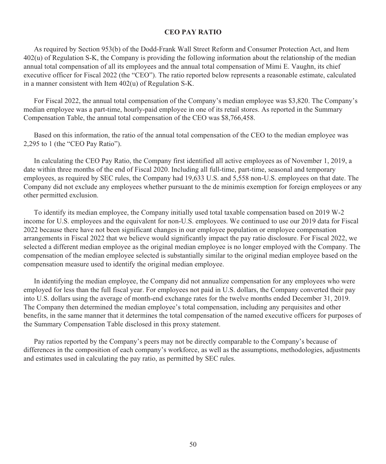## **CEO PAY RATIO**

As required by Section 953(b) of the Dodd-Frank Wall Street Reform and Consumer Protection Act, and Item 402(u) of Regulation S-K, the Company is providing the following information about the relationship of the median annual total compensation of all its employees and the annual total compensation of Mimi E. Vaughn, its chief executive officer for Fiscal 2022 (the "CEO"). The ratio reported below represents a reasonable estimate, calculated in a manner consistent with Item 402(u) of Regulation S-K.

For Fiscal 2022, the annual total compensation of the Company's median employee was \$3,820. The Company's median employee was a part-time, hourly-paid employee in one of its retail stores. As reported in the Summary Compensation Table, the annual total compensation of the CEO was \$8,766,458.

Based on this information, the ratio of the annual total compensation of the CEO to the median employee was 2,295 to 1 (the "CEO Pay Ratio").

In calculating the CEO Pay Ratio, the Company first identified all active employees as of November 1, 2019, a date within three months of the end of Fiscal 2020. Including all full-time, part-time, seasonal and temporary employees, as required by SEC rules, the Company had 19,633 U.S. and 5,558 non-U.S. employees on that date. The Company did not exclude any employees whether pursuant to the de minimis exemption for foreign employees or any other permitted exclusion.

To identify its median employee, the Company initially used total taxable compensation based on 2019 W-2 income for U.S. employees and the equivalent for non-U.S. employees. We continued to use our 2019 data for Fiscal 2022 because there have not been significant changes in our employee population or employee compensation arrangements in Fiscal 2022 that we believe would significantly impact the pay ratio disclosure. For Fiscal 2022, we selected a different median employee as the original median employee is no longer employed with the Company. The compensation of the median employee selected is substantially similar to the original median employee based on the compensation measure used to identify the original median employee.

In identifying the median employee, the Company did not annualize compensation for any employees who were employed for less than the full fiscal year. For employees not paid in U.S. dollars, the Company converted their pay into U.S. dollars using the average of month-end exchange rates for the twelve months ended December 31, 2019. The Company then determined the median employee's total compensation, including any perquisites and other benefits, in the same manner that it determines the total compensation of the named executive officers for purposes of the Summary Compensation Table disclosed in this proxy statement.

Pay ratios reported by the Company's peers may not be directly comparable to the Company's because of differences in the composition of each company's workforce, as well as the assumptions, methodologies, adjustments and estimates used in calculating the pay ratio, as permitted by SEC rules.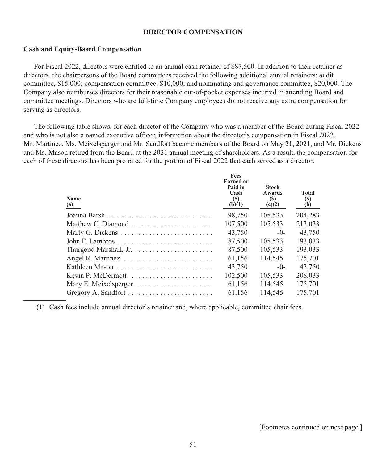#### **DIRECTOR COMPENSATION**

#### **Cash and Equity-Based Compensation**

For Fiscal 2022, directors were entitled to an annual cash retainer of \$87,500. In addition to their retainer as directors, the chairpersons of the Board committees received the following additional annual retainers: audit committee, \$15,000; compensation committee, \$10,000; and nominating and governance committee, \$20,000. The Company also reimburses directors for their reasonable out-of-pocket expenses incurred in attending Board and committee meetings. Directors who are full-time Company employees do not receive any extra compensation for serving as directors.

The following table shows, for each director of the Company who was a member of the Board during Fiscal 2022 and who is not also a named executive officer, information about the director's compensation in Fiscal 2022. Mr. Martinez, Ms. Meixelsperger and Mr. Sandfort became members of the Board on May 21, 2021, and Mr. Dickens and Ms. Mason retired from the Board at the 2021 annual meeting of shareholders. As a result, the compensation for each of these directors has been pro rated for the portion of Fiscal 2022 that each served as a director.

| <b>Name</b><br>(a) | Fees<br><b>Earned</b> or<br>Paid in<br>Cash<br><b>(S)</b><br>(b)(1) | <b>Stock</b><br>Awards<br><b>(S)</b><br>(c)(2) | Total<br><b>(S)</b><br>(h) |
|--------------------|---------------------------------------------------------------------|------------------------------------------------|----------------------------|
|                    | 98,750                                                              | 105,533                                        | 204,283                    |
| Matthew C. Diamond | 107,500                                                             | 105,533                                        | 213,033                    |
| Marty G. Dickens   | 43,750                                                              | $-()$                                          | 43,750                     |
|                    | 87,500                                                              | 105,533                                        | 193,033                    |
|                    | 87,500                                                              | 105,533                                        | 193,033                    |
|                    | 61.156                                                              | 114.545                                        | 175,701                    |
| Kathleen Mason     | 43,750                                                              | $-0-$                                          | 43,750                     |
| Kevin P. McDermott | 102,500                                                             | 105,533                                        | 208,033                    |
|                    | 61,156                                                              | 114,545                                        | 175,701                    |
|                    | 61,156                                                              | 114.545                                        | 175,701                    |

(1) Cash fees include annual director's retainer and, where applicable, committee chair fees.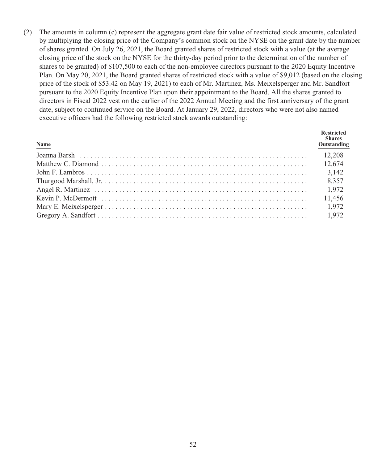(2) The amounts in column (c) represent the aggregate grant date fair value of restricted stock amounts, calculated by multiplying the closing price of the Company's common stock on the NYSE on the grant date by the number of shares granted. On July 26, 2021, the Board granted shares of restricted stock with a value (at the average closing price of the stock on the NYSE for the thirty-day period prior to the determination of the number of shares to be granted) of \$107,500 to each of the non-employee directors pursuant to the 2020 Equity Incentive Plan. On May 20, 2021, the Board granted shares of restricted stock with a value of \$9,012 (based on the closing price of the stock of \$53.42 on May 19, 2021) to each of Mr. Martinez, Ms. Meixelsperger and Mr. Sandfort pursuant to the 2020 Equity Incentive Plan upon their appointment to the Board. All the shares granted to directors in Fiscal 2022 vest on the earlier of the 2022 Annual Meeting and the first anniversary of the grant date, subject to continued service on the Board. At January 29, 2022, directors who were not also named executive officers had the following restricted stock awards outstanding:

| Name                                                                                                                                                                                                                           | <b>Restricted</b><br><b>Shares</b><br>Outstanding |
|--------------------------------------------------------------------------------------------------------------------------------------------------------------------------------------------------------------------------------|---------------------------------------------------|
| Joanna Barsh (12,208) (12,208) (12,208) (12,208) (12,208) (12,208) (12,208) (12,208) (12,208) (12,208) (12,208) (12,208) (12,208) (12,208) (12,208) (12,208) (12,208) (12,208) (12,208) (12,208) (12,208) (12,208) (12,208) (1 |                                                   |
|                                                                                                                                                                                                                                |                                                   |
|                                                                                                                                                                                                                                |                                                   |
|                                                                                                                                                                                                                                |                                                   |
|                                                                                                                                                                                                                                |                                                   |
|                                                                                                                                                                                                                                | 11,456                                            |
|                                                                                                                                                                                                                                |                                                   |
|                                                                                                                                                                                                                                |                                                   |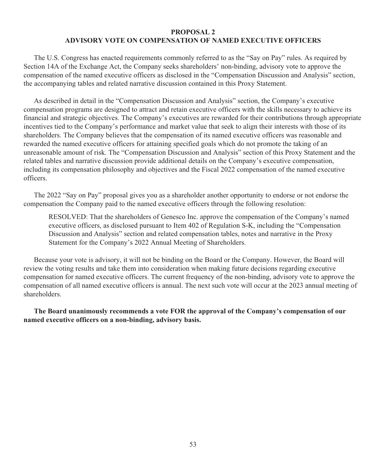## **PROPOSAL 2 ADVISORY VOTE ON COMPENSATION OF NAMED EXECUTIVE OFFICERS**

The U.S. Congress has enacted requirements commonly referred to as the "Say on Pay" rules. As required by Section 14A of the Exchange Act, the Company seeks shareholders' non-binding, advisory vote to approve the compensation of the named executive officers as disclosed in the "Compensation Discussion and Analysis" section, the accompanying tables and related narrative discussion contained in this Proxy Statement.

As described in detail in the "Compensation Discussion and Analysis" section, the Company's executive compensation programs are designed to attract and retain executive officers with the skills necessary to achieve its financial and strategic objectives. The Company's executives are rewarded for their contributions through appropriate incentives tied to the Company's performance and market value that seek to align their interests with those of its shareholders. The Company believes that the compensation of its named executive officers was reasonable and rewarded the named executive officers for attaining specified goals which do not promote the taking of an unreasonable amount of risk. The "Compensation Discussion and Analysis" section of this Proxy Statement and the related tables and narrative discussion provide additional details on the Company's executive compensation, including its compensation philosophy and objectives and the Fiscal 2022 compensation of the named executive officers.

The 2022 "Say on Pay" proposal gives you as a shareholder another opportunity to endorse or not endorse the compensation the Company paid to the named executive officers through the following resolution:

RESOLVED: That the shareholders of Genesco Inc. approve the compensation of the Company's named executive officers, as disclosed pursuant to Item 402 of Regulation S-K, including the "Compensation Discussion and Analysis" section and related compensation tables, notes and narrative in the Proxy Statement for the Company's 2022 Annual Meeting of Shareholders.

Because your vote is advisory, it will not be binding on the Board or the Company. However, the Board will review the voting results and take them into consideration when making future decisions regarding executive compensation for named executive officers. The current frequency of the non-binding, advisory vote to approve the compensation of all named executive officers is annual. The next such vote will occur at the 2023 annual meeting of shareholders.

**The Board unanimously recommends a vote FOR the approval of the Company's compensation of our named executive officers on a non-binding, advisory basis.**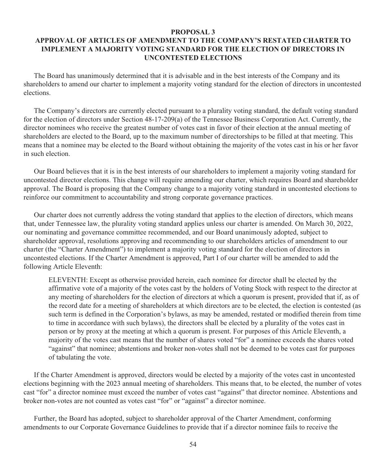#### **PROPOSAL 3**

# **APPROVAL OF ARTICLES OF AMENDMENT TO THE COMPANY'S RESTATED CHARTER TO IMPLEMENT A MAJORITY VOTING STANDARD FOR THE ELECTION OF DIRECTORS IN UNCONTESTED ELECTIONS**

The Board has unanimously determined that it is advisable and in the best interests of the Company and its shareholders to amend our charter to implement a majority voting standard for the election of directors in uncontested elections.

The Company's directors are currently elected pursuant to a plurality voting standard, the default voting standard for the election of directors under Section 48-17-209(a) of the Tennessee Business Corporation Act. Currently, the director nominees who receive the greatest number of votes cast in favor of their election at the annual meeting of shareholders are elected to the Board, up to the maximum number of directorships to be filled at that meeting. This means that a nominee may be elected to the Board without obtaining the majority of the votes cast in his or her favor in such election.

Our Board believes that it is in the best interests of our shareholders to implement a majority voting standard for uncontested director elections. This change will require amending our charter, which requires Board and shareholder approval. The Board is proposing that the Company change to a majority voting standard in uncontested elections to reinforce our commitment to accountability and strong corporate governance practices.

Our charter does not currently address the voting standard that applies to the election of directors, which means that, under Tennessee law, the plurality voting standard applies unless our charter is amended. On March 30, 2022, our nominating and governance committee recommended, and our Board unanimously adopted, subject to shareholder approval, resolutions approving and recommending to our shareholders articles of amendment to our charter (the "Charter Amendment") to implement a majority voting standard for the election of directors in uncontested elections. If the Charter Amendment is approved, Part I of our charter will be amended to add the following Article Eleventh:

ELEVENTH: Except as otherwise provided herein, each nominee for director shall be elected by the affirmative vote of a majority of the votes cast by the holders of Voting Stock with respect to the director at any meeting of shareholders for the election of directors at which a quorum is present, provided that if, as of the record date for a meeting of shareholders at which directors are to be elected, the election is contested (as such term is defined in the Corporation's bylaws, as may be amended, restated or modified therein from time to time in accordance with such bylaws), the directors shall be elected byaplurality of the votes cast in person or by proxy at the meeting at which a quorum is present. For purposes of this Article Eleventh, a majority of the votes cast means that the number of shares voted "for" a nominee exceeds the shares voted "against" that nominee; abstentions and broker non-votes shall not be deemed to be votes cast for purposes of tabulating the vote.

If the Charter Amendment is approved, directors would be elected by a majority of the votes cast in uncontested elections beginning with the 2023 annual meeting of shareholders. This means that, to be elected, the number of votes cast "for" a director nominee must exceed the number of votes cast "against" that director nominee. Abstentions and broker non-votes are not counted as votes cast "for" or "against" a director nominee.

Further, the Board has adopted, subject to shareholder approval of the Charter Amendment, conforming amendments to our Corporate Governance Guidelines to provide that if a director nominee fails to receive the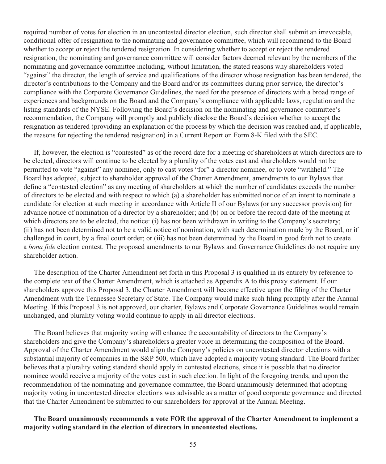required number of votes for election in an uncontested director election, such director shall submit an irrevocable, conditional offer of resignation to the nominating and governance committee, which will recommend to the Board whether to accept or reject the tendered resignation. In considering whether to accept or reject the tendered resignation, the nominating and governance committee will consider factors deemed relevant by the members of the nominating and governance committee including, without limitation, the stated reasons why shareholders voted "against" the director, the length of service and qualifications of the director whose resignation has been tendered, the director's contributions to the Company and the Board and/or its committees during prior service, the director's compliance with the Corporate Governance Guidelines, the need for the presence of directors with a broad range of experiences and backgrounds on the Board and the Company's compliance with applicable laws, regulation and the listing standards of the NYSE. Following the Board's decision on the nominating and governance committee's recommendation, the Company will promptly and publicly disclose the Board's decision whether to accept the resignation as tendered (providing an explanation of the process by which the decision was reached and, if applicable, the reasons for rejecting the tendered resignation) in a Current Report on Form 8-K filed with the SEC.

If, however, the election is "contested" as of the record date for a meeting of shareholders at which directors are to be elected, directors will continue to be elected by a plurality of the votes cast and shareholders would not be permitted to vote "against" any nominee, only to cast votes "for" a director nominee, or to vote "withheld." The Board has adopted, subject to shareholder approval of the Charter Amendment, amendments to our Bylaws that define a "contested election" as any meeting of shareholders at which the number of candidates exceeds the number of directors to be elected and with respect to which (a) a shareholder has submitted notice of an intent to nominate a candidate for election at such meeting in accordance with Article II of our Bylaws (or any successor provision) for advance notice of nomination of a director by a shareholder; and (b) on or before the record date of the meeting at which directors are to be elected, the notice: (i) has not been withdrawn in writing to the Company's secretary; (ii) has not been determined not to be a valid notice of nomination, with such determination made by the Board, or if challenged in court, by a final court order; or (iii) has not been determined by the Board in good faith not to create a *bona fide* election contest. The proposed amendments to our Bylaws and Governance Guidelines do not require any shareholder action.

The description of the Charter Amendment set forth in this Proposal 3 is qualified in its entirety by reference to the complete text of the Charter Amendment, which is attached as Appendix A to this proxy statement. If our shareholders approve this Proposal 3, the Charter Amendment will become effective upon the filing of the Charter Amendment with the Tennessee Secretary of State. The Company would make such filing promptly after the Annual Meeting. If this Proposal 3 is not approved, our charter, Bylaws and Corporate Governance Guidelines would remain unchanged, and plurality voting would continue to apply in all director elections.

The Board believes that majority voting will enhance the accountability of directors to the Company's shareholders and give the Company's shareholders a greater voice in determining the composition of the Board. Approval of the Charter Amendment would align the Company's policies on uncontested director elections with a substantial majority of companies in the S&P 500, which have adopted a majority voting standard. The Board further believes that a plurality voting standard should apply in contested elections, since it is possible that no director nominee would receive a majority of the votes cast in such election. In light of the foregoing trends, and upon the recommendation of the nominating and governance committee, the Board unanimously determined that adopting majority voting in uncontested director elections was advisable as a matter of good corporate governance and directed that the Charter Amendment be submitted to our shareholders for approval at the Annual Meeting.

**The Board unanimously recommends a vote FOR the approval of the Charter Amendment to implement a majority voting standard in the election of directors in uncontested elections.**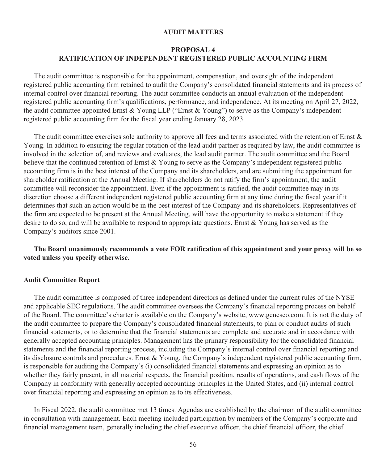#### **AUDIT MATTERS**

## **PROPOSAL 4 RATIFICATION OF INDEPENDENT REGISTERED PUBLIC ACCOUNTING FIRM**

The audit committee is responsible for the appointment, compensation, and oversight of the independent registered public accounting firm retained to audit the Company's consolidated financial statements and its process of internal control over financial reporting. The audit committee conducts an annual evaluation of the independent registered public accounting firm's qualifications, performance, and independence. At its meeting on April 27, 2022, the audit committee appointed Ernst & Young LLP ("Ernst & Young") to serve as the Company's independent registered public accounting firm for the fiscal year ending January 28, 2023.

The audit committee exercises sole authority to approve all fees and terms associated with the retention of Ernst  $\&$ Young. In addition to ensuring the regular rotation of the lead audit partner as required by law, the audit committee is involved in the selection of, and reviews and evaluates, the lead audit partner. The audit committee and the Board believe that the continued retention of Ernst & Young to serve as the Company's independent registered public accounting firm is in the best interest of the Company and its shareholders, and are submitting the appointment for shareholder ratification at the Annual Meeting. If shareholders do not ratify the firm's appointment, the audit committee will reconsider the appointment. Even if the appointment is ratified, the audit committee may in its discretion choose a different independent registered public accounting firm at any time during the fiscal year if it determines that such an action would be in the best interest of the Company and its shareholders. Representatives of the firm are expected to be present at the Annual Meeting, will have the opportunity to make a statement if they desire to do so, and will be available to respond to appropriate questions. Ernst & Young has served as the Company's auditors since 2001.

## **The Board unanimously recommends a vote FOR ratification of this appointment and your proxy will be so voted unless you specify otherwise.**

#### **Audit Committee Report**

The audit committee is composed of three independent directors as defined under the current rules of the NYSE and applicable SEC regulations. The audit committee oversees the Company's financial reporting process on behalf of the Board. The committee's charter is available on the Company's website, www.genesco.com. It is not the duty of the audit committee to prepare the Company's consolidated financial statements, to plan or conduct audits of such financial statements, or to determine that the financial statements are complete and accurate and in accordance with generally accepted accounting principles. Management has the primary responsibility for the consolidated financial statements and the financial reporting process, including the Company's internal control over financial reporting and its disclosure controls and procedures. Ernst & Young, the Company's independent registered public accounting firm, is responsible for auditing the Company's (i) consolidated financial statements and expressing an opinion as to whether they fairly present, in all material respects, the financial position, results of operations, and cash flows of the Company in conformity with generally accepted accounting principles in the United States, and (ii) internal control over financial reporting and expressing an opinion as to its effectiveness.

In Fiscal 2022, the audit committee met 13 times. Agendas are established by the chairman of the audit committee in consultation with management. Each meeting included participation by members of the Company's corporate and financial management team, generally including the chief executive officer, the chief financial officer, the chief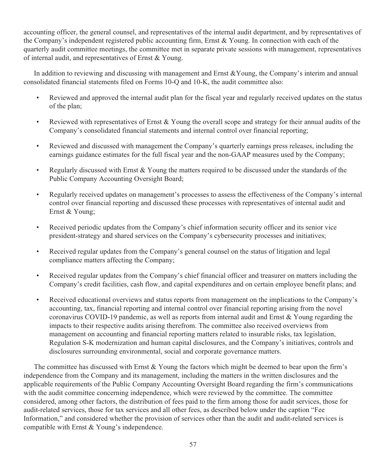accounting officer, the general counsel, and representatives of the internal audit department, and by representatives of the Company's independent registered public accounting firm, Ernst & Young. In connection with each of the quarterly audit committee meetings, the committee met in separate private sessions with management, representatives of internal audit, and representatives of Ernst & Young.

In addition to reviewing and discussing with management and Ernst &Young, the Company's interim and annual consolidated financial statements filed on Forms 10-Q and 10-K, the audit committee also:

- Reviewed and approved the internal audit plan for the fiscal year and regularly received updates on the status of the plan;
- Reviewed with representatives of Ernst & Young the overall scope and strategy for their annual audits of the Company's consolidated financial statements and internal control over financial reporting;
- Reviewed and discussed with management the Company's quarterly earnings press releases, including the earnings guidance estimates for the full fiscal year and the non-GAAP measures used by the Company;
- Regularly discussed with Ernst & Young the matters required to be discussed under the standards of the Public Company Accounting Oversight Board;
- Regularly received updates on management's processes to assess the effectiveness of the Company's internal control over financial reporting and discussed these processes with representatives of internal audit and Ernst & Young;
- Received periodic updates from the Company's chief information security officer and its senior vice president-strategy and shared services on the Company's cybersecurity processes and initiatives;
- Received regular updates from the Company's general counsel on the status of litigation and legal compliance matters affecting the Company;
- Received regular updates from the Company's chief financial officer and treasurer on matters including the Company's credit facilities, cash flow, and capital expenditures and on certain employee benefit plans; and
- Received educational overviews and status reports from management on the implications to the Company's accounting, tax, financial reporting and internal control over financial reporting arising from the novel coronavirus COVID-19 pandemic, as well as reports from internal audit and Ernst & Young regarding the impacts to their respective audits arising therefrom. The committee also received overviews from management on accounting and financial reporting matters related to insurable risks, tax legislation, Regulation S-K modernization and human capital disclosures, and the Company's initiatives, controls and disclosures surrounding environmental, social and corporate governance matters.

The committee has discussed with Ernst & Young the factors which might be deemed to bear upon the firm's independence from the Company and its management, including the matters in the written disclosures and the applicable requirements of the Public Company Accounting Oversight Board regarding the firm's communications with the audit committee concerning independence, which were reviewed by the committee. The committee considered, among other factors, the distribution of fees paid to the firm among those for audit services, those for audit-related services, those for tax services and all other fees, as described below under the caption "Fee Information," and considered whether the provision of services other than the audit and audit-related services is compatible with Ernst & Young's independence.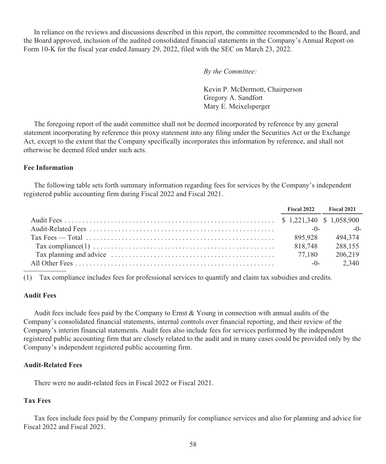In reliance on the reviews and discussions described in this report, the committee recommended to the Board, and the Board approved, inclusion of the audited consolidated financial statements in the Company's Annual Report on Form 10-K for the fiscal year ended January 29, 2022, filed with the SEC on March 23, 2022.

*By the Committee:*

Kevin P. McDermott, Chairperson Gregory A. Sandfort Mary E. Meixelsperger

The foregoing report of the audit committee shall not be deemed incorporated by reference by any general statement incorporating by reference this proxy statement into any filing under the Securities Act or the Exchange Act, except to the extent that the Company specifically incorporates this information by reference, and shall not otherwise be deemed filed under such acts.

## **Fee Information**

The following table sets forth summary information regarding fees for services by the Company's independent registered public accounting firm during Fiscal 2022 and Fiscal 2021.

|                                                                                                                                | <b>Fiscal 2022</b> | <b>Fiscal 2021</b> |
|--------------------------------------------------------------------------------------------------------------------------------|--------------------|--------------------|
|                                                                                                                                |                    |                    |
|                                                                                                                                |                    | $-0$ $-0$ $-0$     |
| Tax Fees — Total $\dots \dots \dots \dots \dots \dots \dots \dots \dots \dots \dots \dots \dots \dots \dots \dots \dots \dots$ | 895.928            | 494.374            |
|                                                                                                                                | 818,748            | 288,155            |
|                                                                                                                                | 77.180             | 206.219            |
|                                                                                                                                | $-0-$              | 2.340              |

(1) Tax compliance includes fees for professional services to quantify and claim tax subsidies and credits.

#### **Audit Fees**

Audit fees include fees paid by the Company to Ernst & Young in connection with annual audits of the Company's consolidated financial statements, internal controls over financial reporting, and their review of the Company's interim financial statements. Audit fees also include fees for services performed by the independent registered public accounting firm that are closely related to the audit and in many cases could be provided only by the Company's independent registered public accounting firm.

#### **Audit-Related Fees**

There were no audit-related fees in Fiscal 2022 or Fiscal 2021.

#### **Tax Fees**

Tax fees include fees paid by the Company primarily for compliance services and also for planning and advice for Fiscal 2022 and Fiscal 2021.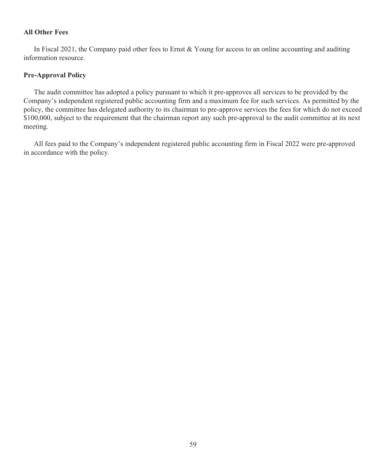## **All Other Fees**

In Fiscal 2021, the Company paid other fees to Ernst & Young for access to an online accounting and auditing information resource.

## **Pre-Approval Policy**

The audit committee has adopted a policy pursuant to which it pre-approves all services to be provided by the Company's independent registered public accounting firm and a maximum fee for such services. As permitted by the policy, the committee has delegated authority to its chairman to pre-approve services the fees for which do not exceed \$100,000, subject to the requirement that the chairman report any such pre-approval to the audit committee at its next meeting.

All fees paid to the Company's independent registered public accounting firm in Fiscal 2022 were pre-approved in accordance with the policy.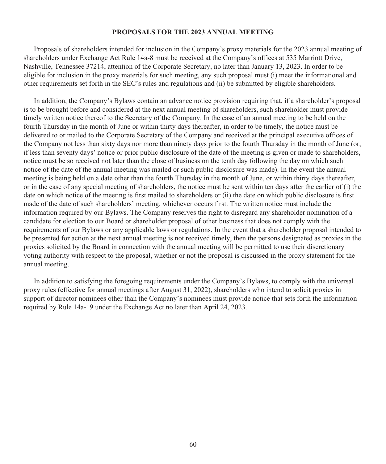#### **PROPOSALS FOR THE 2023 ANNUAL MEETING**

Proposals of shareholders intended for inclusion in the Company's proxy materials for the 2023 annual meeting of shareholders under Exchange Act Rule 14a-8 must be received at the Company's offices at 535 Marriott Drive, Nashville, Tennessee 37214, attention of the Corporate Secretary, no later than January 13, 2023. In order to be eligible for inclusion in the proxy materials for such meeting, any such proposal must (i) meet the informational and other requirements set forth in the SEC's rules and regulations and (ii) be submitted by eligible shareholders.

In addition, the Company's Bylaws contain an advance notice provision requiring that, if a shareholder's proposal is to be brought before and considered at the next annual meeting of shareholders, such shareholder must provide timely written notice thereof to the Secretary of the Company. In the case of an annual meeting to be held on the fourth Thursday in the month of June or within thirty days thereafter, in order to be timely, the notice must be delivered to or mailed to the Corporate Secretary of the Company and received at the principal executive offices of the Company not less than sixty days nor more than ninety days prior to the fourth Thursday in the month of June (or, if less than seventy days' notice or prior public disclosure of the date of the meeting is given or made to shareholders, notice must be so received not later than the close of business on the tenth day following the day on which such notice of the date of the annual meeting was mailed or such public disclosure was made). In the event the annual meeting is being held on a date other than the fourth Thursday in the month of June, or within thirty days thereafter, or in the case of any special meeting of shareholders, the notice must be sent within ten days after the earlier of (i) the date on which notice of the meeting is first mailed to shareholders or (ii) the date on which public disclosure is first made of the date of such shareholders' meeting, whichever occurs first. The written notice must include the information required by our Bylaws. The Company reserves the right to disregard any shareholder nomination of a candidate for election to our Board or shareholder proposal of other business that does not comply with the requirements of our Bylaws or any applicable laws or regulations. In the event that a shareholder proposal intended to be presented for action at the next annual meeting is not received timely, then the persons designated as proxies in the proxies solicited by the Board in connection with the annual meeting will be permitted to use their discretionary voting authority with respect to the proposal, whether or not the proposal is discussed in the proxy statement for the annual meeting.

In addition to satisfying the foregoing requirements under the Company's Bylaws, to comply with the universal proxy rules (effective for annual meetings after August 31, 2022), shareholders who intend to solicit proxies in support of director nominees other than the Company's nominees must provide notice that sets forth the information required by Rule 14a-19 under the Exchange Act no later than April 24, 2023.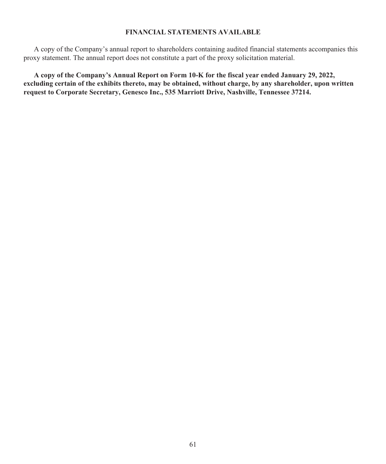## **FINANCIAL STATEMENTS AVAILABLE**

A copy of the Company's annual report to shareholders containing audited financial statements accompanies this proxy statement. The annual report does not constitute a part of the proxy solicitation material.

**A copy of the Company's Annual Report on Form 10-K for the fiscal year ended January 29, 2022, excluding certain of the exhibits thereto, may be obtained, without charge, by any shareholder, upon written request to Corporate Secretary, Genesco Inc., 535 Marriott Drive, Nashville, Tennessee 37214.**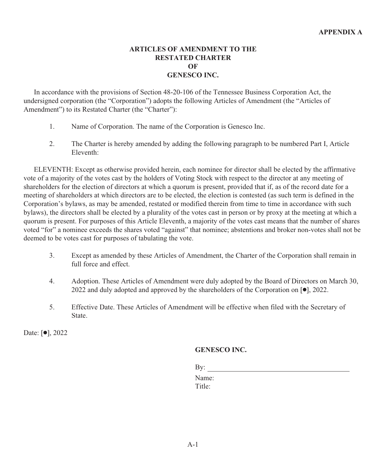# **ARTICLES OF AMENDMENT TO THE RESTATED CHARTER OF GENESCO INC.**

In accordance with the provisions of Section 48-20-106 of the Tennessee Business Corporation Act, the undersigned corporation (the "Corporation") adopts the following Articles of Amendment (the "Articles of Amendment") to its Restated Charter (the "Charter"):

- 1. Name of Corporation. The name of the Corporation is Genesco Inc.
- 2. The Charter is hereby amended by adding the following paragraph to be numbered Part I, Article Eleventh:

ELEVENTH: Except as otherwise provided herein, each nominee for director shall be elected by the affirmative vote of a majority of the votes cast by the holders of Voting Stock with respect to the director at any meeting of shareholders for the election of directors at which a quorum is present, provided that if, as of the record date for a meeting of shareholders at which directors are to be elected, the election is contested (as such term is defined in the Corporation's bylaws, as may be amended, restated or modified therein from time to time in accordance with such bylaws), the directors shall be elected by a plurality of the votes cast in person or by proxy at the meeting at which a quorum is present. For purposes of this Article Eleventh, a majority of the votes cast means that the number of shares voted "for" a nominee exceeds the shares voted "against" that nominee; abstentions and broker non-votes shall not be deemed to be votes cast for purposes of tabulating the vote.

- 3. Except as amended by these Articles of Amendment, the Charter of the Corporation shall remain in full force and effect.
- 4. Adoption. These Articles of Amendment were duly adopted by the Board of Directors on March 30, 2022 and duly adopted and approved by the shareholders of the Corporation on  $[•]$ , 2022.
- 5. Effective Date. These Articles of Amendment will be effective when filed with the Secretary of State.

Date:  $[•]$ , 2022

# **GENESCO INC.**

By:

Name: Title: